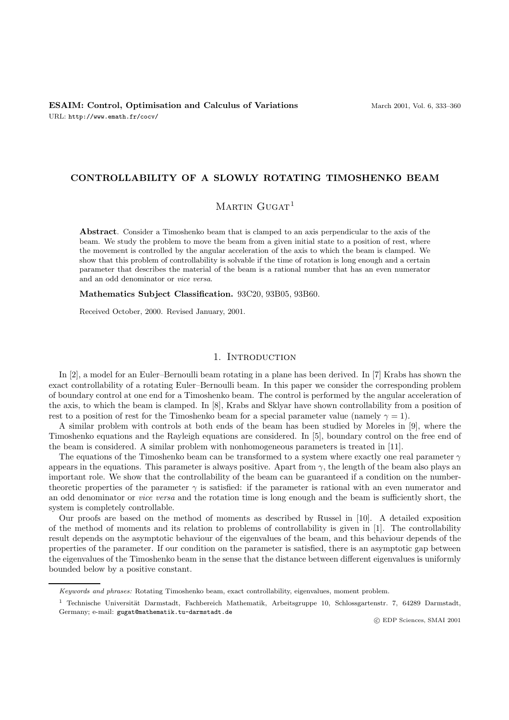## **CONTROLLABILITY OF A SLOWLY ROTATING TIMOSHENKO BEAM**

# $M$ ARTIN  $G$ UGAT<sup>1</sup>

**Abstract**. Consider a Timoshenko beam that is clamped to an axis perpendicular to the axis of the beam. We study the problem to move the beam from a given initial state to a position of rest, where the movement is controlled by the angular acceleration of the axis to which the beam is clamped. We show that this problem of controllability is solvable if the time of rotation is long enough and a certain parameter that describes the material of the beam is a rational number that has an even numerator and an odd denominator or vice versa.

**Mathematics Subject Classification.** 93C20, 93B05, 93B60.

Received October, 2000. Revised January, 2001.

#### 1. INTRODUCTION

In [2], a model for an Euler–Bernoulli beam rotating in a plane has been derived. In [7] Krabs has shown the exact controllability of a rotating Euler–Bernoulli beam. In this paper we consider the corresponding problem of boundary control at one end for a Timoshenko beam. The control is performed by the angular acceleration of the axis, to which the beam is clamped. In [8], Krabs and Sklyar have shown controllability from a position of rest to a position of rest for the Timoshenko beam for a special parameter value (namely  $\gamma = 1$ ).

A similar problem with controls at both ends of the beam has been studied by Moreles in [9], where the Timoshenko equations and the Rayleigh equations are considered. In [5], boundary control on the free end of the beam is considered. A similar problem with nonhomogeneous parameters is treated in [11].

The equations of the Timoshenko beam can be transformed to a system where exactly one real parameter  $\gamma$ appears in the equations. This parameter is always positive. Apart from  $\gamma$ , the length of the beam also plays an important role. We show that the controllability of the beam can be guaranteed if a condition on the numbertheoretic properties of the parameter  $\gamma$  is satisfied: if the parameter is rational with an even numerator and an odd denominator or vice versa and the rotation time is long enough and the beam is sufficiently short, the system is completely controllable.

Our proofs are based on the method of moments as described by Russel in [10]. A detailed exposition of the method of moments and its relation to problems of controllability is given in [1]. The controllability result depends on the asymptotic behaviour of the eigenvalues of the beam, and this behaviour depends of the properties of the parameter. If our condition on the parameter is satisfied, there is an asymptotic gap between the eigenvalues of the Timoshenko beam in the sense that the distance between different eigenvalues is uniformly bounded below by a positive constant.

c EDP Sciences, SMAI 2001

Keywords and phrases: Rotating Timoshenko beam, exact controllability, eigenvalues, moment problem.

 $1$  Technische Universität Darmstadt, Fachbereich Mathematik, Arbeitsgruppe 10, Schlossgartenstr. 7, 64289 Darmstadt, Germany; e-mail: gugat@mathematik.tu-darmstadt.de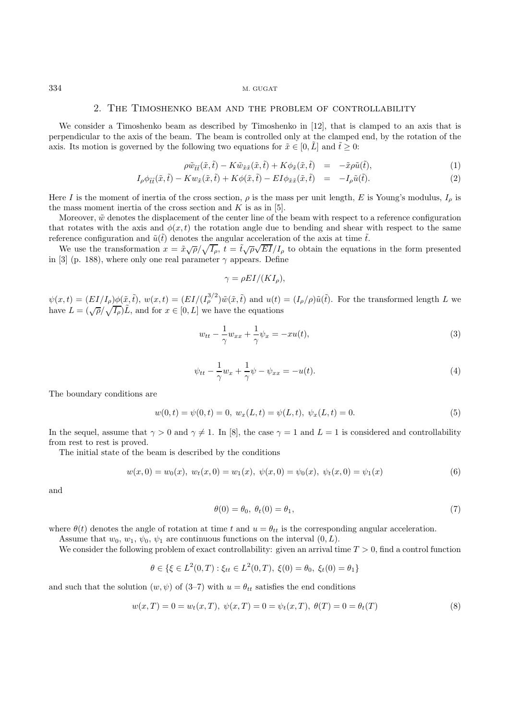#### 2. The Timoshenko beam and the problem of controllability

We consider a Timoshenko beam as described by Timoshenko in [12], that is clamped to an axis that is perpendicular to the axis of the beam. The beam is controlled only at the clamped end, by the rotation of the axis. Its motion is governed by the following two equations for  $\tilde{x} \in [0, \tilde{L}]$  and  $\tilde{t} \geq 0$ :

$$
\rho \tilde{w}_{\tilde{t}\tilde{t}}(\tilde{x},\tilde{t}) - K \tilde{w}_{\tilde{x}\tilde{x}}(\tilde{x},\tilde{t}) + K \phi_{\tilde{x}}(\tilde{x},\tilde{t}) = -\tilde{x} \rho \tilde{u}(\tilde{t}), \qquad (1)
$$

$$
I_{\rho}\phi_{\tilde{t}\tilde{t}}(\tilde{x},\tilde{t}) - Kw_{\tilde{x}}(\tilde{x},\tilde{t}) + K\phi(\tilde{x},\tilde{t}) - EI\phi_{\tilde{x}\tilde{x}}(\tilde{x},\tilde{t}) = -I_{\rho}\tilde{u}(\tilde{t}).
$$
\n(2)

Here I is the moment of inertia of the cross section,  $\rho$  is the mass per unit length, E is Young's modulus,  $I_{\rho}$  is the mass moment inertia of the cross section and  $K$  is as in [5].

Moreover,  $\tilde{w}$  denotes the displacement of the center line of the beam with respect to a reference configuration that rotates with the axis and  $\phi(x, t)$  the rotation angle due to bending and shear with respect to the same reference configuration and  $\tilde{u}(\tilde{t})$  denotes the angular acceleration of the axis at time  $\tilde{t}$ .

We use the transformation  $x = \tilde{x}\sqrt{\rho}/\sqrt{I_{\rho}}, t = \tilde{t}\sqrt{\rho}\sqrt{EI}/I_{\rho}$  to obtain the equations in the form presented in [3] (p. 188), where only one real parameter  $\gamma$  appears. Define

$$
\gamma = \rho EI/(KI_\rho),
$$

 $\psi(x,t)=(EI/I_{\rho})\phi(\tilde{x},\tilde{t}), w(x,t)=(EI/(I_{\rho}^{3/2})\tilde{w}(\tilde{x},\tilde{t})$  and  $u(t)=(I_{\rho}/\rho)\tilde{u}(\tilde{t}).$  For the transformed length L we have  $L = (\sqrt{\rho}/\sqrt{I_p})\tilde{L}$ , and for  $x \in [0, L]$  we have the equations

$$
w_{tt} - \frac{1}{\gamma} w_{xx} + \frac{1}{\gamma} \psi_x = -xu(t),
$$
\n(3)

$$
\psi_{tt} - \frac{1}{\gamma} w_x + \frac{1}{\gamma} \psi - \psi_{xx} = -u(t). \tag{4}
$$

The boundary conditions are

$$
w(0,t) = \psi(0,t) = 0, \ w_x(L,t) = \psi(L,t), \ \psi_x(L,t) = 0.
$$
\n<sup>(5)</sup>

In the sequel, assume that  $\gamma > 0$  and  $\gamma \neq 1$ . In [8], the case  $\gamma = 1$  and  $L = 1$  is considered and controllability from rest to rest is proved.

The initial state of the beam is described by the conditions

$$
w(x,0) = w_0(x), w_t(x,0) = w_1(x), \psi(x,0) = \psi_0(x), \psi_t(x,0) = \psi_1(x)
$$
\n(6)

and

$$
\theta(0) = \theta_0, \ \theta_t(0) = \theta_1,\tag{7}
$$

where  $\theta(t)$  denotes the angle of rotation at time t and  $u = \theta_{tt}$  is the corresponding angular acceleration.

Assume that  $w_0, w_1, \psi_0, \psi_1$  are continuous functions on the interval  $(0, L)$ .

We consider the following problem of exact controllability: given an arrival time  $T > 0$ , find a control function

$$
\theta \in \{ \xi \in L^2(0, T) : \xi_{tt} \in L^2(0, T), \ \xi(0) = \theta_0, \ \xi_t(0) = \theta_1 \}
$$

and such that the solution  $(w, \psi)$  of  $(3-7)$  with  $u = \theta_{tt}$  satisfies the end conditions

$$
w(x,T) = 0 = w_t(x,T), \ \psi(x,T) = 0 = \psi_t(x,T), \ \theta(T) = 0 = \theta_t(T) \tag{8}
$$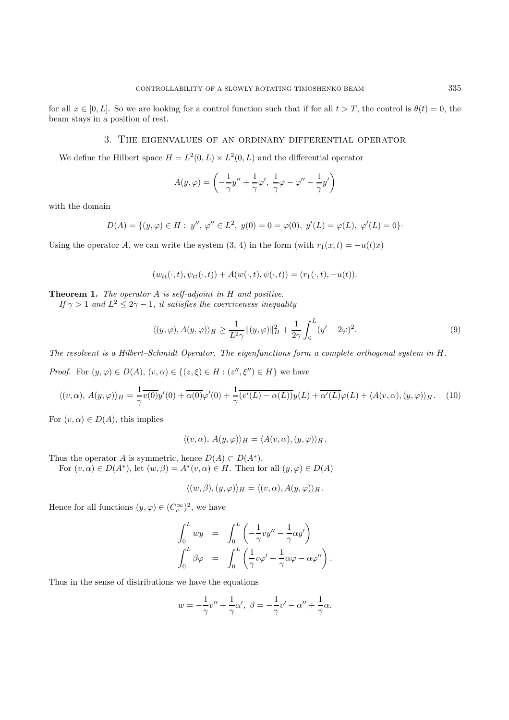# 3. The eigenvalues of an ordinary differential operator

We define the Hilbert space  $H = L^2(0, L) \times L^2(0, L)$  and the differential operator

$$
A(y,\varphi) = \left(-\frac{1}{\gamma}y'' + \frac{1}{\gamma}\varphi', \frac{1}{\gamma}\varphi - \varphi'' - \frac{1}{\gamma}y'\right)
$$

with the domain

$$
D(A) = \{(y, \varphi) \in H : y'', \varphi'' \in L^2, y(0) = 0 = \varphi(0), y'(L) = \varphi(L), \varphi'(L) = 0\}.
$$

Using the operator A, we can write the system  $(3, 4)$  in the form (with  $r_1(x, t) = -u(t)x$ )

$$
(w_{tt}(\cdot,t), \psi_{tt}(\cdot,t)) + A(w(\cdot,t), \psi(\cdot,t)) = (r_1(\cdot,t), -u(t)).
$$

**Theorem 1.** The operator A is self-adjoint in H and positive.

If  $\gamma > 1$  and  $L^2 \leq 2\gamma - 1$ , it satisfies the coerciveness inequality

$$
\langle (y,\varphi), A(y,\varphi) \rangle_H \ge \frac{1}{L^2 \gamma} \| (y,\varphi) \|_H^2 + \frac{1}{2\gamma} \int_0^L (y'-2\varphi)^2.
$$
 (9)

The resolvent is a Hilbert–Schmidt Operator. The eigenfunctions form a complete orthogonal system in H.

*Proof.* For  $(y, \varphi) \in D(A)$ ,  $(v, \alpha) \in \{(z, \xi) \in H : (z'', \xi'') \in H\}$  we have

$$
\langle (v, \alpha), A(y, \varphi) \rangle_H = \frac{1}{\gamma} \overline{v(0)} y'(0) + \overline{\alpha(0)} \varphi'(0) + \frac{1}{\gamma} \overline{(v'(L) - \alpha(L))} y(L) + \overline{\alpha'(L)} \varphi(L) + \langle A(v, \alpha), (y, \varphi) \rangle_H. \tag{10}
$$

For  $(v, \alpha) \in D(A)$ , this implies

$$
\langle (v, \alpha), A(y, \varphi) \rangle_H = \langle A(v, \alpha), (y, \varphi) \rangle_H.
$$

Thus the operator A is symmetric, hence  $D(A) \subset D(A^*)$ .

For  $(v, \alpha) \in D(A^*)$ , let  $(w, \beta) = A^*(v, \alpha) \in H$ . Then for all  $(y, \varphi) \in D(A)$ 

$$
\langle (w,\beta),(y,\varphi)\rangle_H = \langle (v,\alpha),A(y,\varphi)\rangle_H.
$$

Hence for all functions  $(y, \varphi) \in (C_c^{\infty})^2$ , we have

$$
\int_0^L w y = \int_0^L \left( -\frac{1}{\gamma} v y'' - \frac{1}{\gamma} \alpha y' \right)
$$

$$
\int_0^L \beta \varphi = \int_0^L \left( \frac{1}{\gamma} v \varphi' + \frac{1}{\gamma} \alpha \varphi - \alpha \varphi'' \right).
$$

Thus in the sense of distributions we have the equations

$$
w=-\frac{1}{\gamma}v''+\frac{1}{\gamma}\alpha', \ \beta=-\frac{1}{\gamma}v'-\alpha''+\frac{1}{\gamma}\alpha.
$$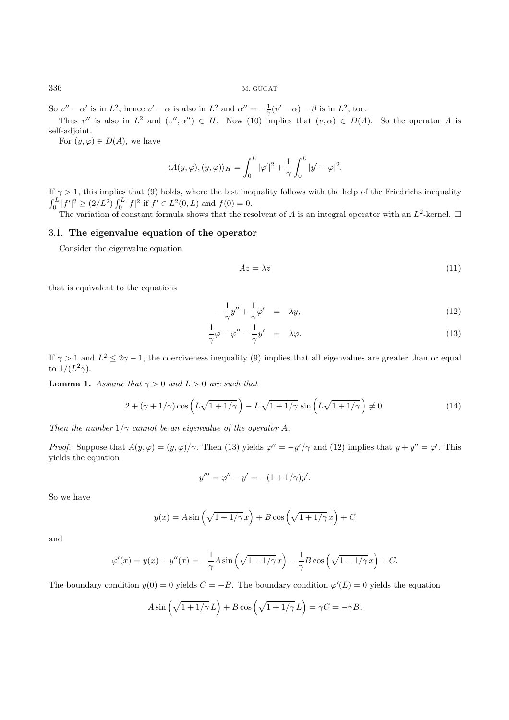So  $v'' - \alpha'$  is in  $L^2$ , hence  $v' - \alpha$  is also in  $L^2$  and  $\alpha'' = -\frac{1}{\gamma}(v' - \alpha) - \beta$  is in  $L^2$ , too.

Thus v'' is also in  $L^2$  and  $(v'', \alpha'') \in H$ . Now (10) implies that  $(v, \alpha) \in D(A)$ . So the operator A is self-adjoint.

For  $(y, \varphi) \in D(A)$ , we have

$$
\langle A(y,\varphi), (y,\varphi) \rangle_H = \int_0^L |\varphi'|^2 + \frac{1}{\gamma} \int_0^L |y' - \varphi|^2.
$$

If  $\gamma > 1$ , this implies that (9) holds, where the last inequality follows with the help of the Friedrichs inequality  $\int_0^L |f'|^2 \ge (2/L^2) \int_0^L |f|^2$  if  $f' \in L^2(0, L)$  and  $f(0) = 0$ .

The variation of constant formula shows that the resolvent of A is an integral operator with an  $L^2$ -kernel.  $\Box$ 

### 3.1. **The eigenvalue equation of the operator**

Consider the eigenvalue equation

$$
Az = \lambda z \tag{11}
$$

that is equivalent to the equations

$$
-\frac{1}{\gamma}y'' + \frac{1}{\gamma}\varphi' = \lambda y,\tag{12}
$$

$$
\frac{1}{\gamma}\varphi - \varphi'' - \frac{1}{\gamma}y' = \lambda\varphi.
$$
\n(13)

If  $\gamma > 1$  and  $L^2 \leq 2\gamma - 1$ , the coerciveness inequality (9) implies that all eigenvalues are greater than or equal to  $1/(L^2\gamma)$ .

**Lemma 1.** Assume that  $\gamma > 0$  and  $L > 0$  are such that

$$
2 + (\gamma + 1/\gamma)\cos\left(L\sqrt{1+1/\gamma}\right) - L\sqrt{1+1/\gamma}\sin\left(L\sqrt{1+1/\gamma}\right) \neq 0. \tag{14}
$$

Then the number  $1/\gamma$  cannot be an eigenvalue of the operator A.

*Proof.* Suppose that  $A(y, \varphi) = (y, \varphi)/\gamma$ . Then (13) yields  $\varphi'' = -y'/\gamma$  and (12) implies that  $y + y'' = \varphi'$ . This yields the equation

$$
y''' = \varphi'' - y' = -(1 + 1/\gamma)y'.
$$

So we have

$$
y(x) = A \sin\left(\sqrt{1 + 1/\gamma} x\right) + B \cos\left(\sqrt{1 + 1/\gamma} x\right) + C
$$

and

$$
\varphi'(x) = y(x) + y''(x) = -\frac{1}{\gamma}A\sin\left(\sqrt{1+1/\gamma}x\right) - \frac{1}{\gamma}B\cos\left(\sqrt{1+1/\gamma}x\right) + C.
$$

The boundary condition  $y(0) = 0$  yields  $C = -B$ . The boundary condition  $\varphi'(L) = 0$  yields the equation

$$
A\sin\left(\sqrt{1+1/\gamma}\,L\right) + B\cos\left(\sqrt{1+1/\gamma}\,L\right) = \gamma C = -\gamma B.
$$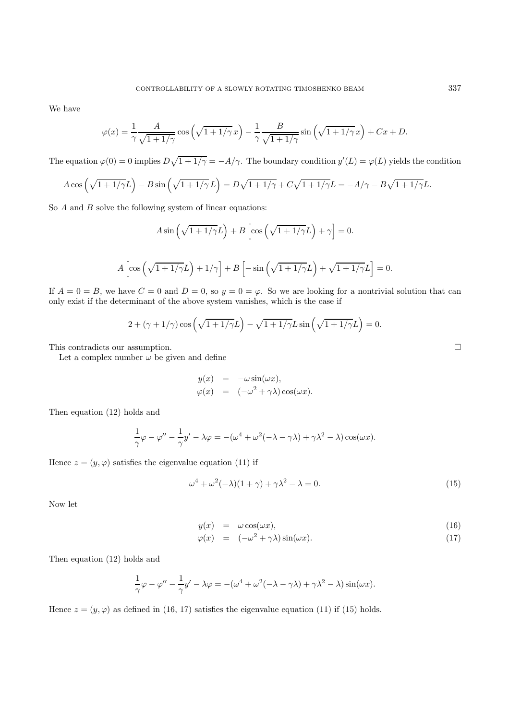We have

$$
\varphi(x) = \frac{1}{\gamma} \frac{A}{\sqrt{1 + 1/\gamma}} \cos\left(\sqrt{1 + 1/\gamma} x\right) - \frac{1}{\gamma} \frac{B}{\sqrt{1 + 1/\gamma}} \sin\left(\sqrt{1 + 1/\gamma} x\right) + Cx + D.
$$

The equation  $\varphi(0) = 0$  implies  $D\sqrt{1+1/\gamma} = -A/\gamma$ . The boundary condition  $y'(L) = \varphi(L)$  yields the condition

$$
A\cos\left(\sqrt{1+1/\gamma}L\right) - B\sin\left(\sqrt{1+1/\gamma}L\right) = D\sqrt{1+1/\gamma} + C\sqrt{1+1/\gamma}L = -A/\gamma - B\sqrt{1+1/\gamma}L.
$$

So A and B solve the following system of linear equations:

$$
A\sin\left(\sqrt{1+1/\gamma}L\right) + B\left[\cos\left(\sqrt{1+1/\gamma}L\right) + \gamma\right] = 0.
$$

$$
A\left[\cos\left(\sqrt{1+1/\gamma}L\right)+1/\gamma\right]+B\left[-\sin\left(\sqrt{1+1/\gamma}L\right)+\sqrt{1+1/\gamma}L\right]=0.
$$

If  $A = 0 = B$ , we have  $C = 0$  and  $D = 0$ , so  $y = 0 = \varphi$ . So we are looking for a nontrivial solution that can only exist if the determinant of the above system vanishes, which is the case if

$$
2 + (\gamma + 1/\gamma)\cos\left(\sqrt{1+1/\gamma}L\right) - \sqrt{1+1/\gamma}L\sin\left(\sqrt{1+1/\gamma}L\right) = 0.
$$

This contradicts our assumption.  $\Box$ 

Let a complex number  $\omega$  be given and define

$$
y(x) = -\omega \sin(\omega x),
$$
  

$$
\varphi(x) = (-\omega^2 + \gamma \lambda) \cos(\omega x).
$$

Then equation (12) holds and

$$
\frac{1}{\gamma}\varphi - \varphi'' - \frac{1}{\gamma}y' - \lambda\varphi = -(\omega^4 + \omega^2(-\lambda - \gamma\lambda) + \gamma\lambda^2 - \lambda)\cos(\omega x).
$$

Hence  $z = (y, \varphi)$  satisfies the eigenvalue equation (11) if

$$
\omega^4 + \omega^2(-\lambda)(1+\gamma) + \gamma\lambda^2 - \lambda = 0.
$$
\n(15)

Now let

$$
y(x) = \omega \cos(\omega x), \tag{16}
$$

$$
\varphi(x) = (-\omega^2 + \gamma \lambda) \sin(\omega x). \tag{17}
$$

Then equation (12) holds and

$$
\frac{1}{\gamma}\varphi - \varphi'' - \frac{1}{\gamma}y' - \lambda\varphi = -(\omega^4 + \omega^2(-\lambda - \gamma\lambda) + \gamma\lambda^2 - \lambda)\sin(\omega x).
$$

Hence  $z = (y, \varphi)$  as defined in (16, 17) satisfies the eigenvalue equation (11) if (15) holds.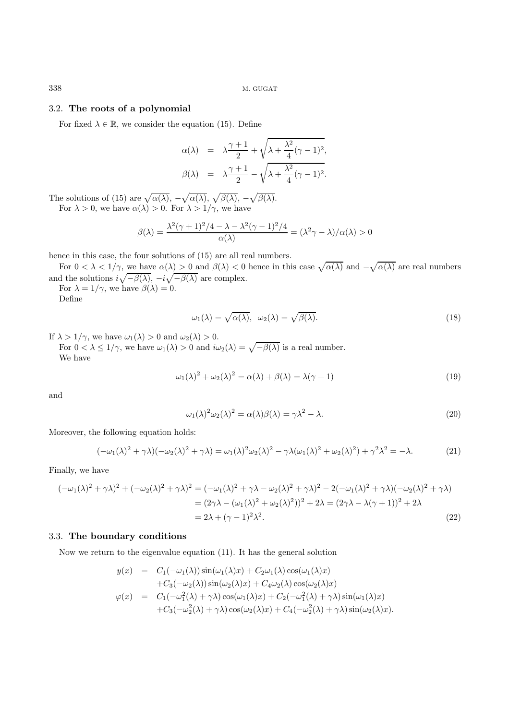# 3.2. **The roots of a polynomial**

For fixed  $\lambda \in \mathbb{R}$ , we consider the equation (15). Define

$$
\alpha(\lambda) = \lambda \frac{\gamma + 1}{2} + \sqrt{\lambda + \frac{\lambda^2}{4} (\gamma - 1)^2},
$$
  

$$
\beta(\lambda) = \lambda \frac{\gamma + 1}{2} - \sqrt{\lambda + \frac{\lambda^2}{4} (\gamma - 1)^2}.
$$

The solutions of (15) are  $\sqrt{\alpha(\lambda)}, -\sqrt{\alpha(\lambda)}, \sqrt{\beta(\lambda)}, -\sqrt{\beta(\lambda)}.$ For  $\lambda > 0$ , we have  $\alpha(\lambda) > 0$ . For  $\lambda > 1/\gamma$ , we have

$$
\beta(\lambda) = \frac{\lambda^2(\gamma+1)^2/4 - \lambda - \lambda^2(\gamma-1)^2/4}{\alpha(\lambda)} = (\lambda^2\gamma - \lambda)/\alpha(\lambda) > 0
$$

hence in this case, the four solutions of (15) are all real numbers.

For  $0 < \lambda < 1/\gamma$ , we have  $\alpha(\lambda) > 0$  and  $\beta(\lambda) < 0$  hence in this case  $\sqrt{\alpha(\lambda)}$  and  $-\sqrt{\alpha(\lambda)}$  are real numbers and the solutions  $i\sqrt{-\beta(\lambda)}, -i\sqrt{-\beta(\lambda)}$  are complex.

For  $\lambda = 1/\gamma$ , we have  $\beta(\lambda) = 0$ . Define

$$
\omega_1(\lambda) = \sqrt{\alpha(\lambda)}, \quad \omega_2(\lambda) = \sqrt{\beta(\lambda)}.
$$
\n(18)

If  $\lambda > 1/\gamma$ , we have  $\omega_1(\lambda) > 0$  and  $\omega_2(\lambda) > 0$ . For  $0 < \lambda \leq 1/\gamma$ , we have  $\omega_1(\lambda) > 0$  and  $i\omega_2(\lambda) = \sqrt{-\beta(\lambda)}$  is a real number. We have

$$
\omega_1(\lambda)^2 + \omega_2(\lambda)^2 = \alpha(\lambda) + \beta(\lambda) = \lambda(\gamma + 1)
$$
\n(19)

and

$$
\omega_1(\lambda)^2 \omega_2(\lambda)^2 = \alpha(\lambda)\beta(\lambda) = \gamma\lambda^2 - \lambda.
$$
\n(20)

Moreover, the following equation holds:

$$
(-\omega_1(\lambda)^2 + \gamma \lambda)(-\omega_2(\lambda)^2 + \gamma \lambda) = \omega_1(\lambda)^2 \omega_2(\lambda)^2 - \gamma \lambda(\omega_1(\lambda)^2 + \omega_2(\lambda)^2) + \gamma^2 \lambda^2 = -\lambda.
$$
 (21)

Finally, we have

$$
(-\omega_1(\lambda)^2 + \gamma \lambda)^2 + (-\omega_2(\lambda)^2 + \gamma \lambda)^2 = (-\omega_1(\lambda)^2 + \gamma \lambda - \omega_2(\lambda)^2 + \gamma \lambda)^2 - 2(-\omega_1(\lambda)^2 + \gamma \lambda)(-\omega_2(\lambda)^2 + \gamma \lambda)
$$
  
=  $(2\gamma\lambda - (\omega_1(\lambda)^2 + \omega_2(\lambda)^2))^2 + 2\lambda = (2\gamma\lambda - \lambda(\gamma + 1))^2 + 2\lambda$   
=  $2\lambda + (\gamma - 1)^2\lambda^2$ . (22)

## 3.3. **The boundary conditions**

Now we return to the eigenvalue equation (11). It has the general solution

$$
y(x) = C_1(-\omega_1(\lambda))\sin(\omega_1(\lambda)x) + C_2\omega_1(\lambda)\cos(\omega_1(\lambda)x)
$$
  
+C\_3(-\omega\_2(\lambda))\sin(\omega\_2(\lambda)x) + C\_4\omega\_2(\lambda)\cos(\omega\_2(\lambda)x)  

$$
\varphi(x) = C_1(-\omega_1^2(\lambda) + \gamma\lambda)\cos(\omega_1(\lambda)x) + C_2(-\omega_1^2(\lambda) + \gamma\lambda)\sin(\omega_1(\lambda)x)
$$
  
+C\_3(-\omega\_2^2(\lambda) + \gamma\lambda)\cos(\omega\_2(\lambda)x) + C\_4(-\omega\_2^2(\lambda) + \gamma\lambda)\sin(\omega\_2(\lambda)x).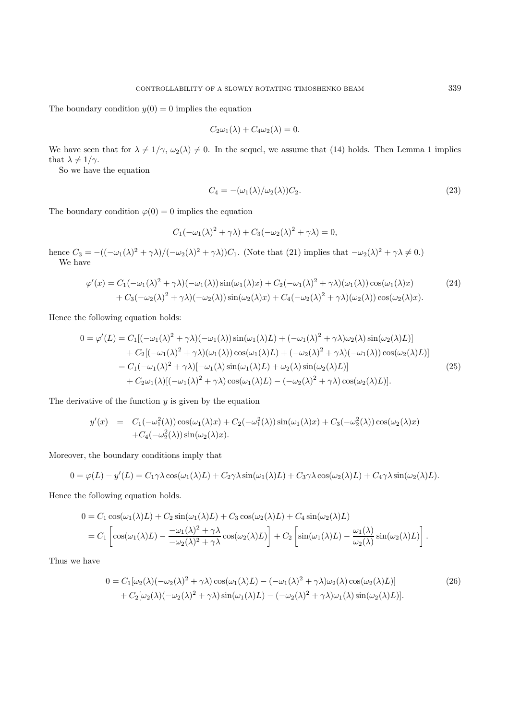The boundary condition  $y(0) = 0$  implies the equation

$$
C_2\omega_1(\lambda) + C_4\omega_2(\lambda) = 0.
$$

We have seen that for  $\lambda \neq 1/\gamma$ ,  $\omega_2(\lambda) \neq 0$ . In the sequel, we assume that (14) holds. Then Lemma 1 implies that  $\lambda \neq 1/\gamma$ .

So we have the equation

$$
C_4 = -(\omega_1(\lambda)/\omega_2(\lambda))C_2.
$$
\n(23)

The boundary condition  $\varphi(0) = 0$  implies the equation

$$
C_1(-\omega_1(\lambda)^2 + \gamma \lambda) + C_3(-\omega_2(\lambda)^2 + \gamma \lambda) = 0,
$$

hence  $C_3 = -((-\omega_1(\lambda)^2 + \gamma \lambda)/(-\omega_2(\lambda)^2 + \gamma \lambda))C_1$ . (Note that (21) implies that  $-\omega_2(\lambda)^2 + \gamma \lambda \neq 0$ .) We have

$$
\varphi'(x) = C_1(-\omega_1(\lambda)^2 + \gamma \lambda)(-\omega_1(\lambda))\sin(\omega_1(\lambda)x) + C_2(-\omega_1(\lambda)^2 + \gamma \lambda)(\omega_1(\lambda))\cos(\omega_1(\lambda)x) + C_3(-\omega_2(\lambda)^2 + \gamma \lambda)(-\omega_2(\lambda))\sin(\omega_2(\lambda)x) + C_4(-\omega_2(\lambda)^2 + \gamma \lambda)(\omega_2(\lambda))\cos(\omega_2(\lambda)x).
$$
\n(24)

Hence the following equation holds:

$$
0 = \varphi'(L) = C_1[(-\omega_1(\lambda)^2 + \gamma \lambda)(-\omega_1(\lambda))\sin(\omega_1(\lambda)L) + (-\omega_1(\lambda)^2 + \gamma \lambda)\omega_2(\lambda)\sin(\omega_2(\lambda)L)]
$$
  
+ 
$$
C_2[(-\omega_1(\lambda)^2 + \gamma \lambda)(\omega_1(\lambda))\cos(\omega_1(\lambda)L) + (-\omega_2(\lambda)^2 + \gamma \lambda)(-\omega_1(\lambda))\cos(\omega_2(\lambda)L)]
$$
  
= 
$$
C_1(-\omega_1(\lambda)^2 + \gamma \lambda)[-\omega_1(\lambda)\sin(\omega_1(\lambda)L) + \omega_2(\lambda)\sin(\omega_2(\lambda)L)]
$$
  
+ 
$$
C_2\omega_1(\lambda)[(-\omega_1(\lambda)^2 + \gamma \lambda)\cos(\omega_1(\lambda)L) - (-\omega_2(\lambda)^2 + \gamma \lambda)\cos(\omega_2(\lambda)L)].
$$
 (25)

The derivative of the function  $y$  is given by the equation

$$
y'(x) = C_1(-\omega_1^2(\lambda))\cos(\omega_1(\lambda)x) + C_2(-\omega_1^2(\lambda))\sin(\omega_1(\lambda)x) + C_3(-\omega_2^2(\lambda))\cos(\omega_2(\lambda)x) + C_4(-\omega_2^2(\lambda))\sin(\omega_2(\lambda)x).
$$

Moreover, the boundary conditions imply that

$$
0 = \varphi(L) - y'(L) = C_1 \gamma \lambda \cos(\omega_1(\lambda)L) + C_2 \gamma \lambda \sin(\omega_1(\lambda)L) + C_3 \gamma \lambda \cos(\omega_2(\lambda)L) + C_4 \gamma \lambda \sin(\omega_2(\lambda)L).
$$

Hence the following equation holds.

$$
0 = C_1 \cos(\omega_1(\lambda)L) + C_2 \sin(\omega_1(\lambda)L) + C_3 \cos(\omega_2(\lambda)L) + C_4 \sin(\omega_2(\lambda)L)
$$
  
= 
$$
C_1 \left[ \cos(\omega_1(\lambda)L) - \frac{-\omega_1(\lambda)^2 + \gamma \lambda}{-\omega_2(\lambda)^2 + \gamma \lambda} \cos(\omega_2(\lambda)L) \right] + C_2 \left[ \sin(\omega_1(\lambda)L) - \frac{\omega_1(\lambda)}{\omega_2(\lambda)} \sin(\omega_2(\lambda)L) \right].
$$

Thus we have

$$
0 = C_1[\omega_2(\lambda)(-\omega_2(\lambda)^2 + \gamma \lambda)\cos(\omega_1(\lambda)L) - (-\omega_1(\lambda)^2 + \gamma \lambda)\omega_2(\lambda)\cos(\omega_2(\lambda)L)]
$$
  
+ 
$$
C_2[\omega_2(\lambda)(-\omega_2(\lambda)^2 + \gamma \lambda)\sin(\omega_1(\lambda)L) - (-\omega_2(\lambda)^2 + \gamma \lambda)\omega_1(\lambda)\sin(\omega_2(\lambda)L)].
$$
 (26)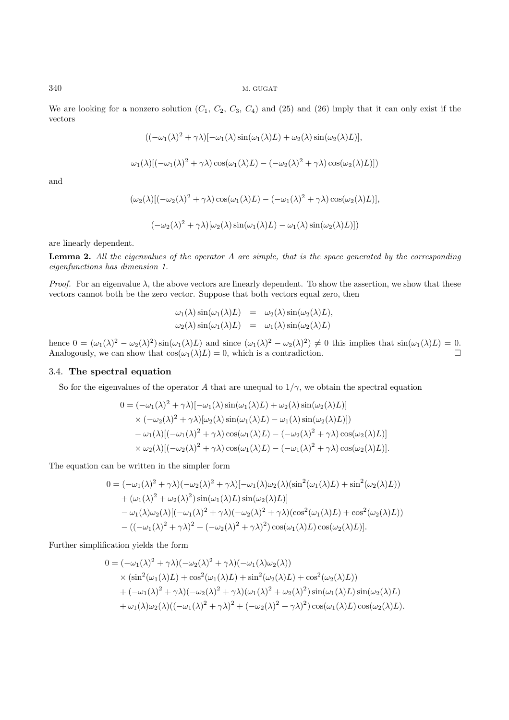We are looking for a nonzero solution  $(C_1, C_2, C_3, C_4)$  and  $(25)$  and  $(26)$  imply that it can only exist if the vectors

$$
((-\omega_1(\lambda)^2 + \gamma \lambda)[-\omega_1(\lambda)\sin(\omega_1(\lambda)L) + \omega_2(\lambda)\sin(\omega_2(\lambda)L)],
$$

$$
\omega_1(\lambda)[(-\omega_1(\lambda)^2 + \gamma \lambda)\cos(\omega_1(\lambda)L) - (-\omega_2(\lambda)^2 + \gamma \lambda)\cos(\omega_2(\lambda)L)])
$$

and

$$
(\omega_2(\lambda)[(-\omega_2(\lambda)^2 + \gamma \lambda)\cos(\omega_1(\lambda)L) - (-\omega_1(\lambda)^2 + \gamma \lambda)\cos(\omega_2(\lambda)L)],
$$

$$
(-\omega_2(\lambda)^2 + \gamma \lambda)[\omega_2(\lambda)\sin(\omega_1(\lambda)L) - \omega_1(\lambda)\sin(\omega_2(\lambda)L)]
$$

are linearly dependent.

**Lemma 2.** All the eigenvalues of the operator A are simple, that is the space generated by the corresponding eigenfunctions has dimension 1.

*Proof.* For an eigenvalue  $\lambda$ , the above vectors are linearly dependent. To show the assertion, we show that these vectors cannot both be the zero vector. Suppose that both vectors equal zero, then

$$
\omega_1(\lambda) \sin(\omega_1(\lambda)L) = \omega_2(\lambda) \sin(\omega_2(\lambda)L), \n\omega_2(\lambda) \sin(\omega_1(\lambda)L) = \omega_1(\lambda) \sin(\omega_2(\lambda)L)
$$

hence  $0 = (\omega_1(\lambda)^2 - \omega_2(\lambda)^2) \sin(\omega_1(\lambda)L)$  and since  $(\omega_1(\lambda)^2 - \omega_2(\lambda)^2) \neq 0$  this implies that  $\sin(\omega_1(\lambda)L) = 0$ . Analogously, we can show that  $cos(\omega_1(\lambda)L) = 0$ , which is a contradiction.

#### 3.4. **The spectral equation**

So for the eigenvalues of the operator A that are unequal to  $1/\gamma$ , we obtain the spectral equation

$$
0 = (-\omega_1(\lambda)^2 + \gamma \lambda)[-\omega_1(\lambda)\sin(\omega_1(\lambda)L) + \omega_2(\lambda)\sin(\omega_2(\lambda)L)]
$$
  
 
$$
\times (-\omega_2(\lambda)^2 + \gamma \lambda)[\omega_2(\lambda)\sin(\omega_1(\lambda)L) - \omega_1(\lambda)\sin(\omega_2(\lambda)L)]
$$
  
 
$$
-\omega_1(\lambda)[(-\omega_1(\lambda)^2 + \gamma \lambda)\cos(\omega_1(\lambda)L) - (-\omega_2(\lambda)^2 + \gamma \lambda)\cos(\omega_2(\lambda)L)]
$$
  
 
$$
\times \omega_2(\lambda)[(-\omega_2(\lambda)^2 + \gamma \lambda)\cos(\omega_1(\lambda)L) - (-\omega_1(\lambda)^2 + \gamma \lambda)\cos(\omega_2(\lambda)L)].
$$

The equation can be written in the simpler form

$$
0 = (-\omega_1(\lambda)^2 + \gamma \lambda)(-\omega_2(\lambda)^2 + \gamma \lambda)[-\omega_1(\lambda)\omega_2(\lambda)(\sin^2(\omega_1(\lambda)L) + \sin^2(\omega_2(\lambda)L))
$$
  
+  $(\omega_1(\lambda)^2 + \omega_2(\lambda)^2)\sin(\omega_1(\lambda)L)\sin(\omega_2(\lambda)L)]$   
-  $\omega_1(\lambda)\omega_2(\lambda)[(-\omega_1(\lambda)^2 + \gamma \lambda)(-\omega_2(\lambda)^2 + \gamma \lambda)(\cos^2(\omega_1(\lambda)L) + \cos^2(\omega_2(\lambda)L))$   
-  $((-\omega_1(\lambda)^2 + \gamma \lambda)^2 + (-\omega_2(\lambda)^2 + \gamma \lambda)^2)\cos(\omega_1(\lambda)L)\cos(\omega_2(\lambda)L)].$ 

Further simplification yields the form

$$
0 = (-\omega_1(\lambda)^2 + \gamma \lambda)(-\omega_2(\lambda)^2 + \gamma \lambda)(-\omega_1(\lambda)\omega_2(\lambda))
$$
  
 
$$
\times (\sin^2(\omega_1(\lambda)L) + \cos^2(\omega_1(\lambda)L) + \sin^2(\omega_2(\lambda)L) + \cos^2(\omega_2(\lambda)L))
$$
  
 
$$
+ (-\omega_1(\lambda)^2 + \gamma \lambda)(-\omega_2(\lambda)^2 + \gamma \lambda)(\omega_1(\lambda)^2 + \omega_2(\lambda)^2) \sin(\omega_1(\lambda)L) \sin(\omega_2(\lambda)L)
$$
  
 
$$
+ \omega_1(\lambda)\omega_2(\lambda)((-\omega_1(\lambda)^2 + \gamma \lambda)^2 + (-\omega_2(\lambda)^2 + \gamma \lambda)^2) \cos(\omega_1(\lambda)L) \cos(\omega_2(\lambda)L).
$$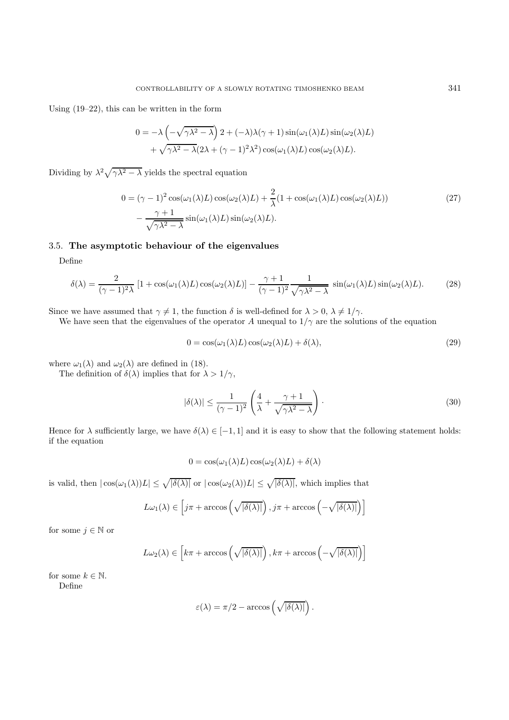Using (19–22), this can be written in the form

$$
0 = -\lambda \left( -\sqrt{\gamma \lambda^2 - \lambda} \right) 2 + (-\lambda)\lambda(\gamma + 1) \sin(\omega_1(\lambda)L) \sin(\omega_2(\lambda)L) + \sqrt{\gamma \lambda^2 - \lambda} (2\lambda + (\gamma - 1)^2 \lambda^2) \cos(\omega_1(\lambda)L) \cos(\omega_2(\lambda)L).
$$

Dividing by  $\lambda^2 \sqrt{\gamma \lambda^2 - \lambda}$  yields the spectral equation

$$
0 = (\gamma - 1)^2 \cos(\omega_1(\lambda)L) \cos(\omega_2(\lambda)L) + \frac{2}{\lambda} (1 + \cos(\omega_1(\lambda)L) \cos(\omega_2(\lambda)L))
$$
  

$$
- \frac{\gamma + 1}{\sqrt{\gamma \lambda^2 - \lambda}} \sin(\omega_1(\lambda)L) \sin(\omega_2(\lambda)L).
$$
 (27)

## 3.5. **The asymptotic behaviour of the eigenvalues**

Define

$$
\delta(\lambda) = \frac{2}{(\gamma - 1)^2 \lambda} \left[ 1 + \cos(\omega_1(\lambda)L) \cos(\omega_2(\lambda)L) \right] - \frac{\gamma + 1}{(\gamma - 1)^2} \frac{1}{\sqrt{\gamma \lambda^2 - \lambda}} \sin(\omega_1(\lambda)L) \sin(\omega_2(\lambda)L). \tag{28}
$$

Since we have assumed that  $\gamma \neq 1$ , the function  $\delta$  is well-defined for  $\lambda > 0$ ,  $\lambda \neq 1/\gamma$ .

We have seen that the eigenvalues of the operator A unequal to  $1/\gamma$  are the solutions of the equation

$$
0 = \cos(\omega_1(\lambda)L)\cos(\omega_2(\lambda)L) + \delta(\lambda),\tag{29}
$$

where  $\omega_1(\lambda)$  and  $\omega_2(\lambda)$  are defined in (18).

The definition of  $\delta(\lambda)$  implies that for  $\lambda > 1/\gamma$ ,

$$
|\delta(\lambda)| \le \frac{1}{(\gamma - 1)^2} \left( \frac{4}{\lambda} + \frac{\gamma + 1}{\sqrt{\gamma \lambda^2 - \lambda}} \right). \tag{30}
$$

Hence for  $\lambda$  sufficiently large, we have  $\delta(\lambda) \in [-1, 1]$  and it is easy to show that the following statement holds: if the equation

$$
0 = \cos(\omega_1(\lambda)L)\cos(\omega_2(\lambda)L) + \delta(\lambda)
$$

is valid, then  $|\cos(\omega_1(\lambda))L| \leq \sqrt{|\delta(\lambda)|}$  or  $|\cos(\omega_2(\lambda))L| \leq \sqrt{|\delta(\lambda)|}$ , which implies that

$$
L\omega_1(\lambda) \in \left[j\pi + \arccos\left(\sqrt{|\delta(\lambda)|}\right), j\pi + \arccos\left(-\sqrt{|\delta(\lambda)|}\right)\right]
$$

for some  $j \in \mathbb{N}$  or

$$
L\omega_2(\lambda) \in \left[k\pi + \arccos\left(\sqrt{|\delta(\lambda)|}\right), k\pi + \arccos\left(-\sqrt{|\delta(\lambda)|}\right)\right]
$$

for some  $k \in \mathbb{N}$ . Define

$$
\varepsilon(\lambda) = \pi/2 - \arccos\left(\sqrt{|\delta(\lambda)|}\right).
$$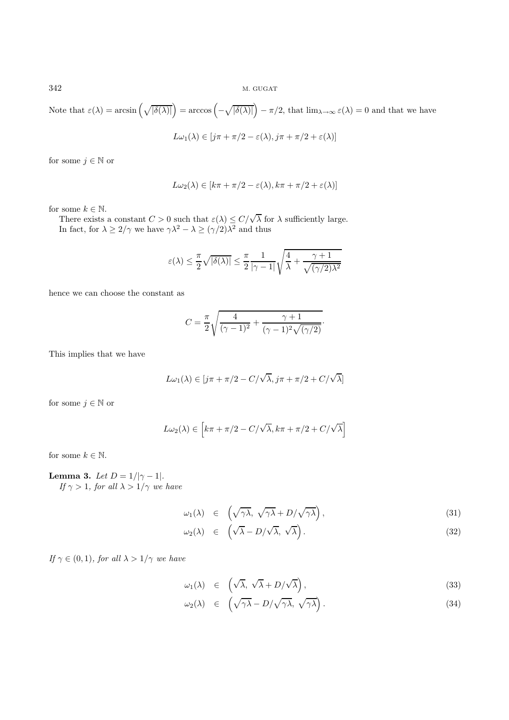Note that  $\varepsilon(\lambda) = \arcsin\left(\sqrt{|\delta(\lambda)|}\right) = \arccos\left(-\sqrt{|\delta(\lambda)|}\right) - \pi/2$ , that  $\lim_{\lambda \to \infty} \varepsilon(\lambda) = 0$  and that we have

$$
L\omega_1(\lambda) \in [j\pi + \pi/2 - \varepsilon(\lambda), j\pi + \pi/2 + \varepsilon(\lambda)]
$$

for some  $j \in \mathbb{N}$  or

$$
L\omega_2(\lambda) \in [k\pi + \pi/2 - \varepsilon(\lambda), k\pi + \pi/2 + \varepsilon(\lambda)]
$$

for some  $k \in \mathbb{N}$ .

some  $\kappa \in \mathbb{N}$ .<br>There exists a constant  $C > 0$  such that  $\varepsilon(\lambda) \leq C/\sqrt{\lambda}$  for  $\lambda$  sufficiently large. In fact, for  $\lambda \geq 2/\gamma$  we have  $\gamma \lambda^2 - \lambda \geq (\gamma/2) \lambda^2$  and thus

$$
\varepsilon(\lambda) \leq \frac{\pi}{2} \sqrt{|\delta(\lambda)|} \leq \frac{\pi}{2} \frac{1}{|\gamma - 1|} \sqrt{\frac{4}{\lambda} + \frac{\gamma + 1}{\sqrt{(\gamma/2) \lambda^2}}}
$$

hence we can choose the constant as

$$
C = \frac{\pi}{2} \sqrt{\frac{4}{(\gamma - 1)^2} + \frac{\gamma + 1}{(\gamma - 1)^2 \sqrt{(\gamma / 2)}}}.
$$

This implies that we have

$$
L\omega_1(\lambda) \in [j\pi + \pi/2 - C/\sqrt{\lambda}, j\pi + \pi/2 + C/\sqrt{\lambda}]
$$

for some  $j \in \mathbb{N}$  or

$$
L\omega_2(\lambda) \in \left[k\pi + \pi/2 - C/\sqrt{\lambda}, k\pi + \pi/2 + C/\sqrt{\lambda}\right]
$$

for some  $k \in \mathbb{N}$ .

**Lemma 3.** Let  $D = 1/|\gamma - 1|$ . If  $\gamma > 1$ , for all  $\lambda > 1/\gamma$  we have

$$
\omega_1(\lambda) \in \left(\sqrt{\gamma\lambda}, \sqrt{\gamma\lambda} + D/\sqrt{\gamma\lambda}\right),\tag{31}
$$

$$
\omega_2(\lambda) \in \left(\sqrt{\lambda} - D/\sqrt{\lambda}, \sqrt{\lambda}\right). \tag{32}
$$

If  $\gamma \in (0, 1)$ , for all  $\lambda > 1/\gamma$  we have

$$
\omega_1(\lambda) \in \left(\sqrt{\lambda}, \sqrt{\lambda} + D/\sqrt{\lambda}\right),\tag{33}
$$

$$
\omega_2(\lambda) \in \left(\sqrt{\gamma\lambda} - D/\sqrt{\gamma\lambda}, \sqrt{\gamma\lambda}\right). \tag{34}
$$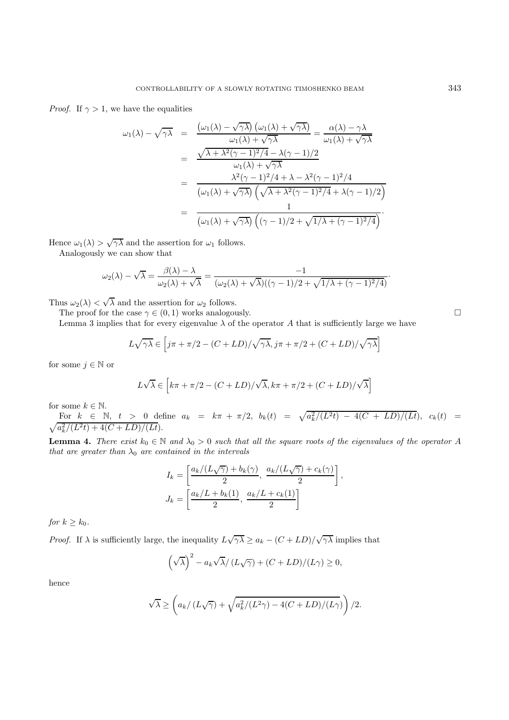*Proof.* If  $\gamma > 1$ , we have the equalities

$$
\omega_1(\lambda) - \sqrt{\gamma \lambda} = \frac{(\omega_1(\lambda) - \sqrt{\gamma \lambda})(\omega_1(\lambda) + \sqrt{\gamma \lambda})}{\omega_1(\lambda) + \sqrt{\gamma \lambda}} = \frac{\alpha(\lambda) - \gamma \lambda}{\omega_1(\lambda) + \sqrt{\gamma \lambda}}
$$

$$
= \frac{\sqrt{\lambda + \lambda^2 (\gamma - 1)^2/4} - \lambda (\gamma - 1)/2}{\omega_1(\lambda) + \sqrt{\gamma \lambda}}
$$

$$
= \frac{\lambda^2 (\gamma - 1)^2/4 + \lambda - \lambda^2 (\gamma - 1)^2/4}{(\omega_1(\lambda) + \sqrt{\gamma \lambda})(\sqrt{\lambda + \lambda^2 (\gamma - 1)^2/4} + \lambda (\gamma - 1)/2)}
$$

$$
= \frac{1}{(\omega_1(\lambda) + \sqrt{\gamma \lambda})((\gamma - 1)/2 + \sqrt{1/\lambda + (\gamma - 1)^2/4})}.
$$

Hence  $\omega_1(\lambda) > \sqrt{\gamma \lambda}$  and the assertion for  $\omega_1$  follows.

Analogously we can show that

$$
\omega_2(\lambda) - \sqrt{\lambda} = \frac{\beta(\lambda) - \lambda}{\omega_2(\lambda) + \sqrt{\lambda}} = \frac{-1}{(\omega_2(\lambda) + \sqrt{\lambda})((\gamma - 1)/2 + \sqrt{1/\lambda + (\gamma - 1)^2/4})}.
$$

Thus  $\omega_2(\lambda) < \sqrt{\lambda}$  and the assertion for  $\omega_2$  follows.

The proof for the case  $\gamma \in (0,1)$  works analogously.

Lemma 3 implies that for every eigenvalue  $\lambda$  of the operator A that is sufficiently large we have

$$
L\sqrt{\gamma\lambda} \in \left[j\pi + \pi/2 - (C + LD)/\sqrt{\gamma\lambda}, j\pi + \pi/2 + (C + LD)/\sqrt{\gamma\lambda}\right]
$$

for some  $j \in \mathbb{N}$  or

$$
L\sqrt{\lambda} \in \left[k\pi + \pi/2 - (C + LD)/\sqrt{\lambda}, k\pi + \pi/2 + (C + LD)/\sqrt{\lambda}\right]
$$

for some  $k \in \mathbb{N}$ .

For  $k \in \mathbb{N}$ ,  $t > 0$  define  $a_k = k\pi + \pi/2$ ,  $b_k(t) = \sqrt{a_k^2/(L^2)}$  $\sqrt{ }$  $t) - 4(C + LD)/(Lt), c_k(t) =$  $a_k^2/(L^2t) + 4(C + LD)/(Lt).$ 

**Lemma 4.** There exist  $k_0 \in \mathbb{N}$  and  $\lambda_0 > 0$  such that all the square roots of the eigenvalues of the operator A that are greater than  $\lambda_0$  are contained in the intervals

$$
I_k = \left[\frac{a_k/(L\sqrt{\gamma}) + b_k(\gamma)}{2}, \frac{a_k/(L\sqrt{\gamma}) + c_k(\gamma)}{2}\right],
$$
  

$$
J_k = \left[\frac{a_k/L + b_k(1)}{2}, \frac{a_k/L + c_k(1)}{2}\right]
$$

for  $k \geq k_0$ .

*Proof.* If  $\lambda$  is sufficiently large, the inequality  $L\sqrt{\gamma\lambda} \ge a_k - (C + LD)/\sqrt{\gamma\lambda}$  implies that

$$
\left(\sqrt{\lambda}\right)^2 - a_k\sqrt{\lambda}/\left(L\sqrt{\gamma}\right) + (C + LD)/(L\gamma) \ge 0,
$$

hence

$$
\sqrt{\lambda} \ge \left( a_k/\left(L\sqrt{\gamma}\right) + \sqrt{a_k^2/(L^2\gamma) - 4(C + LD)/(L\gamma)} \right)/2.
$$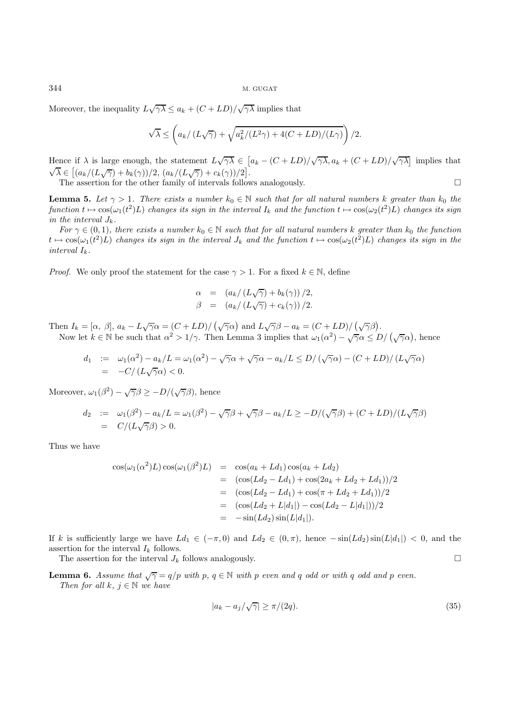Moreover, the inequality  $L\sqrt{\gamma\lambda} \le a_k + (C + LD)/\sqrt{\gamma\lambda}$  implies that

$$
\sqrt{\lambda} \le \left( a_k / \left( L \sqrt{\gamma} \right) + \sqrt{a_k^2 / (L^2 \gamma) + 4(C + LD) / (L \gamma)} \right) / 2.
$$

Hence if  $\lambda$  is large enough, the statement  $L\sqrt{\gamma\lambda} \in [a_k - (C + LD)/\sqrt{\gamma\lambda}, a_k + (C + LD)/\sqrt{\gamma\lambda}]$  implies that Thence II  $\lambda$  is large enough, the statement  $EV/\lambda \in [(a_k/(L\sqrt{\gamma}) + b_k(\gamma))/2, (a_k/(L\sqrt{\gamma}) + c_k(\gamma))/2].$ 

The assertion for the other family of intervals follows analogously.  $\Box$ 

**Lemma 5.** Let  $\gamma > 1$ . There exists a number  $k_0 \in \mathbb{N}$  such that for all natural numbers k greater than  $k_0$  the  $\mathit{function}\ t \mapsto \cos(\omega_1(t^2)L) \ \mathit{changes} \ \mathit{its} \ \mathit{sign}\ \mathit{in} \ \mathit{the}\ \mathit{interval}\ I_k \ \mathit{and} \ \mathit{the}\ \mathit{function}\ t \mapsto \cos(\omega_2(t^2)L) \ \mathit{changes} \ \mathit{its}\ \mathit{sign}$ in the interval  $J_k$ .

For  $\gamma \in (0,1)$ , there exists a number  $k_0 \in \mathbb{N}$  such that for all natural numbers k greater than  $k_0$  the function  $t \mapsto \cos(\omega_1(t^2)L)$  changes its sign in the interval  $J_k$  and the function  $t \mapsto \cos(\omega_2(t^2)L)$  changes its sign in the interval  $I_k$ .

*Proof.* We only proof the statement for the case  $\gamma > 1$ . For a fixed  $k \in \mathbb{N}$ , define

$$
\alpha = (a_k/(L\sqrt{\gamma}) + b_k(\gamma))/2,
$$
  
\n
$$
\beta = (a_k/(L\sqrt{\gamma}) + c_k(\gamma))/2.
$$

Then  $I_k = [\alpha, \beta], a_k - L\sqrt{\gamma}\alpha = (C + LD)/(\sqrt{\gamma}\alpha)$  and  $L\sqrt{\gamma}\beta - a_k = (C + LD)/(\sqrt{\gamma}\beta)$ . Now let  $k \in \mathbb{N}$  be such that  $\alpha^2 > 1/\gamma$ . Then Lemma 3 implies that  $\omega_1(\alpha^2) - \sqrt{\gamma} \alpha \leq D/(\sqrt{\gamma} \alpha)$ , hence

$$
d_1 := \omega_1(\alpha^2) - a_k/L = \omega_1(\alpha^2) - \sqrt{\gamma}\alpha + \sqrt{\gamma}\alpha - a_k/L \le D/(\sqrt{\gamma}\alpha) - (C + LD)/(L\sqrt{\gamma}\alpha)
$$
  
= -C/(L\sqrt{\gamma}\alpha) < 0.

Moreover,  $\omega_1(\beta^2) - \sqrt{\gamma}\beta \geq -D/(\sqrt{\gamma}\beta)$ , hence

$$
d_2 := \omega_1(\beta^2) - a_k/L = \omega_1(\beta^2) - \sqrt{\gamma}\beta + \sqrt{\gamma}\beta - a_k/L \ge -D/(\sqrt{\gamma}\beta) + (C + LD)/(L\sqrt{\gamma}\beta)
$$
  
=  $C/(L\sqrt{\gamma}\beta) > 0.$ 

Thus we have

$$
\cos(\omega_1(\alpha^2)L)\cos(\omega_1(\beta^2)L) = \cos(a_k + Ld_1)\cos(a_k + Ld_2)
$$
  
\n
$$
= (\cos(Ld_2 - Ld_1) + \cos(2a_k + Ld_2 + Ld_1))/2
$$
  
\n
$$
= (\cos(Ld_2 - Ld_1) + \cos(\pi + Ld_2 + Ld_1))/2
$$
  
\n
$$
= (\cos(Ld_2 + L|d_1|) - \cos(Ld_2 - L|d_1|))/2
$$
  
\n
$$
= -\sin(Ld_2)\sin(L|d_1|).
$$

If k is sufficiently large we have  $Ld_1 \in (-\pi, 0)$  and  $Ld_2 \in (0, \pi)$ , hence  $-\sin(Ld_2)\sin(L|d_1|) < 0$ , and the assertion for the interval  $I_k$  follows.

The assertion for the interval  $J_k$  follows analogously.

**Lemma 6.** Assume that  $\sqrt{\gamma} = q/p$  with p,  $q \in \mathbb{N}$  with p even and q odd or with q odd and p even. Then for all k,  $j \in \mathbb{N}$  we have

$$
|a_k - a_j/\sqrt{\gamma}| \ge \pi/(2q). \tag{35}
$$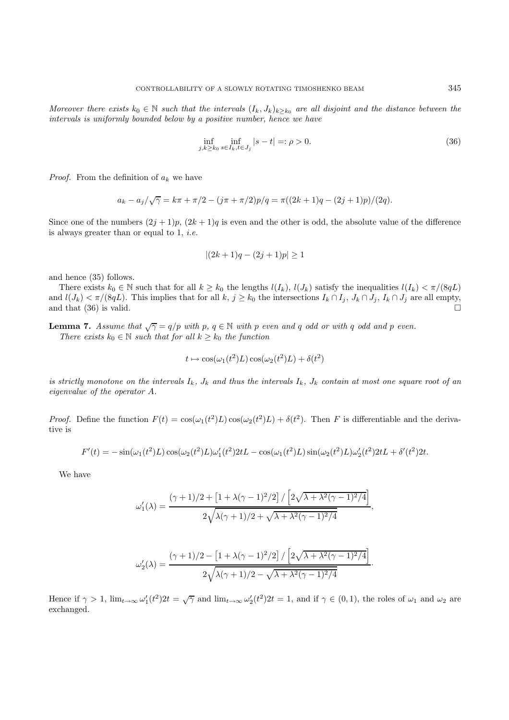Moreover there exists  $k_0 \in \mathbb{N}$  such that the intervals  $(I_k, J_k)_{k\geq k_0}$  are all disjoint and the distance between the intervals is uniformly bounded below by a positive number, hence we have

$$
\inf_{j,k \ge k_0} \inf_{s \in I_k, t \in J_j} |s - t| =: \rho > 0.
$$
\n(36)

*Proof.* From the definition of  $a_k$  we have

$$
a_k - a_j/\sqrt{\gamma} = k\pi + \pi/2 - (j\pi + \pi/2)p/q = \pi((2k+1)q - (2j+1)p)/(2q).
$$

Since one of the numbers  $(2j + 1)p$ ,  $(2k + 1)q$  is even and the other is odd, the absolute value of the difference is always greater than or equal to  $1, i.e.$ 

$$
|(2k+1)q - (2j+1)p| \ge 1
$$

and hence (35) follows.

There exists  $k_0 \in \mathbb{N}$  such that for all  $k \geq k_0$  the lengths  $l(I_k)$ ,  $l(J_k)$  satisfy the inequalities  $l(I_k) < \pi/(8qL)$ and  $l(J_k) < \pi/(8qL)$ . This implies that for all k,  $j \geq k_0$  the intersections  $I_k \cap I_j$ ,  $J_k \cap J_j$ ,  $I_k \cap J_j$  are all empty, and that (36) is valid.

**Lemma 7.** Assume that  $\sqrt{\gamma} = q/p$  with p,  $q \in \mathbb{N}$  with p even and q odd or with q odd and p even. There exists  $k_0 \in \mathbb{N}$  such that for all  $k \geq k_0$  the function

$$
t \mapsto \cos(\omega_1(t^2)L)\cos(\omega_2(t^2)L) + \delta(t^2)
$$

is strictly monotone on the intervals  $I_k$ ,  $J_k$  and thus the intervals  $I_k$ ,  $J_k$  contain at most one square root of an eigenvalue of the operator A.

*Proof.* Define the function  $F(t) = \cos(\omega_1(t^2)L)\cos(\omega_2(t^2)L) + \delta(t^2)$ . Then F is differentiable and the derivative is

$$
F'(t) = -\sin(\omega_1(t^2)L)\cos(\omega_2(t^2)L)\omega_1'(t^2)2tL - \cos(\omega_1(t^2)L)\sin(\omega_2(t^2)L)\omega_2'(t^2)2tL + \delta'(t^2)2t.
$$

We have

$$
\omega_1'(\lambda)=\frac{(\gamma+1)/2+\left[1+\lambda(\gamma-1)^2/2\right]/\left[2\sqrt{\lambda+\lambda^2(\gamma-1)^2/4}\right]}{2\sqrt{\lambda(\gamma+1)/2+\sqrt{\lambda+\lambda^2(\gamma-1)^2/4}}},
$$

$$
\omega_2'(\lambda)=\frac{(\gamma+1)/2-\left[1+\lambda(\gamma-1)^2/2\right]/\left[2\sqrt{\lambda+\lambda^2(\gamma-1)^2/4}\right]}{2\sqrt{\lambda(\gamma+1)/2-\sqrt{\lambda+\lambda^2(\gamma-1)^2/4}}}.
$$

Hence if  $\gamma > 1$ ,  $\lim_{t\to\infty} \omega_1'(t^2)2t = \sqrt{\gamma}$  and  $\lim_{t\to\infty} \omega_2'(t^2)2t = 1$ , and if  $\gamma \in (0,1)$ , the roles of  $\omega_1$  and  $\omega_2$  are exchanged.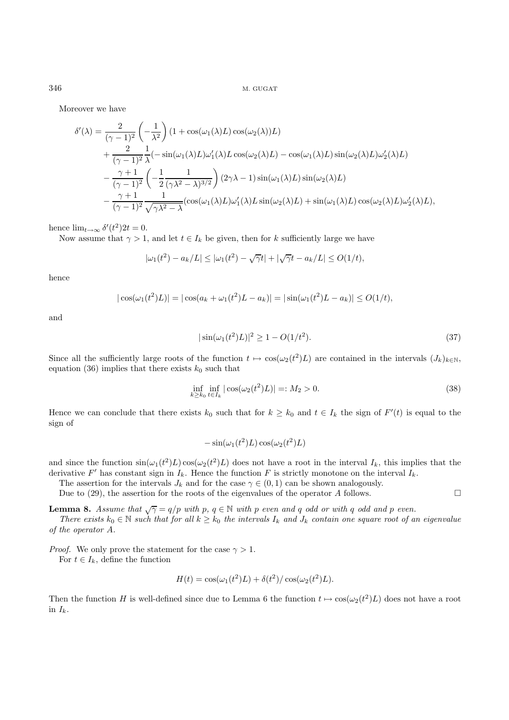Moreover we have

$$
\delta'(\lambda) = \frac{2}{(\gamma - 1)^2} \left( -\frac{1}{\lambda^2} \right) (1 + \cos(\omega_1(\lambda)L) \cos(\omega_2(\lambda))L)
$$
  
+ 
$$
\frac{2}{(\gamma - 1)^2} \frac{1}{\lambda} (-\sin(\omega_1(\lambda)L)\omega_1'(\lambda)L \cos(\omega_2(\lambda)L) - \cos(\omega_1(\lambda)L)\sin(\omega_2(\lambda)L)\omega_2'(\lambda)L)
$$
  
- 
$$
\frac{\gamma + 1}{(\gamma - 1)^2} \left( -\frac{1}{2} \frac{1}{(\gamma\lambda^2 - \lambda)^{3/2}} \right) (2\gamma\lambda - 1) \sin(\omega_1(\lambda)L) \sin(\omega_2(\lambda)L)
$$
  
- 
$$
\frac{\gamma + 1}{(\gamma - 1)^2} \frac{1}{\sqrt{\gamma\lambda^2 - \lambda}} (\cos(\omega_1(\lambda)L)\omega_1'(\lambda)L \sin(\omega_2(\lambda)L) + \sin(\omega_1(\lambda)L) \cos(\omega_2(\lambda)L)\omega_2'(\lambda)L),
$$

hence  $\lim_{t\to\infty} \delta'(t^2)2t = 0.$ 

Now assume that  $\gamma > 1$ , and let  $t \in I_k$  be given, then for k sufficiently large we have

$$
|\omega_1(t^2) - a_k/L| \le |\omega_1(t^2) - \sqrt{\gamma}t| + |\sqrt{\gamma}t - a_k/L| \le O(1/t),
$$

hence

$$
|\cos(\omega_1(t^2)L)| = |\cos(a_k + \omega_1(t^2)L - a_k)| = |\sin(\omega_1(t^2)L - a_k)| \le O(1/t),
$$

and

$$
|\sin(\omega_1(t^2)L)|^2 \ge 1 - O(1/t^2). \tag{37}
$$

Since all the sufficiently large roots of the function  $t \mapsto \cos(\omega_2(t^2)L)$  are contained in the intervals  $(J_k)_{k\in\mathbb{N}}$ , equation (36) implies that there exists  $k_0$  such that

$$
\inf_{k \ge k_0} \inf_{t \in I_k} |\cos(\omega_2(t^2)L)| =: M_2 > 0.
$$
\n(38)

Hence we can conclude that there exists  $k_0$  such that for  $k \geq k_0$  and  $t \in I_k$  the sign of  $F'(t)$  is equal to the sign of

$$
-\sin(\omega_1(t^2)L)\cos(\omega_2(t^2)L)
$$

and since the function  $sin(\omega_1(t^2)L) cos(\omega_2(t^2)L)$  does not have a root in the interval  $I_k$ , this implies that the derivative F' has constant sign in  $I_k$ . Hence the function F is strictly monotone on the interval  $I_k$ .

The assertion for the intervals  $J_k$  and for the case  $\gamma \in (0,1)$  can be shown analogously.

Due to (29), the assertion for the roots of the eigenvalues of the operator A follows.  $\square$ 

**Lemma 8.** Assume that  $\sqrt{\gamma} = q/p$  with p,  $q \in \mathbb{N}$  with p even and q odd or with q odd and p even.

There exists  $k_0 \in \mathbb{N}$  such that for all  $k \geq k_0$  the intervals  $I_k$  and  $J_k$  contain one square root of an eigenvalue of the operator A.

*Proof.* We only prove the statement for the case  $\gamma > 1$ .

For  $t \in I_k$ , define the function

$$
H(t) = \cos(\omega_1(t^2)L) + \delta(t^2) / \cos(\omega_2(t^2)L).
$$

Then the function H is well-defined since due to Lemma 6 the function  $t \mapsto \cos(\omega_2(t^2)L)$  does not have a root in  $I_k$ .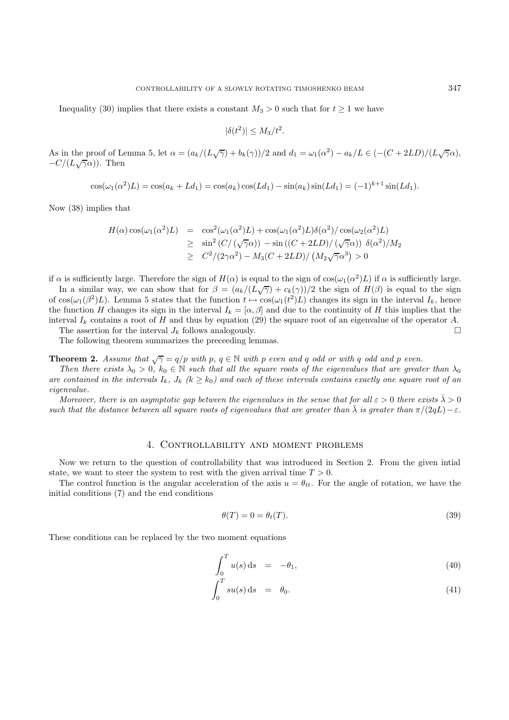Inequality (30) implies that there exists a constant  $M_3 > 0$  such that for  $t \geq 1$  we have

$$
|\delta(t^2)| \le M_3/t^2.
$$

As in the proof of Lemma 5, let  $\alpha = (a_k/(L\sqrt{\gamma}) + b_k(\gamma))/2$  and  $d_1 = \omega_1(\alpha^2) - a_k/L \in (-(C + 2LD)/(L\sqrt{\gamma}\alpha))$ ,  $-C/(L\sqrt{\gamma}\alpha)$ ). Then

$$
\cos(\omega_1(\alpha^2)L) = \cos(a_k + Ld_1) = \cos(a_k)\cos(Ld_1) - \sin(a_k)\sin(Ld_1) = (-1)^{k+1}\sin(Ld_1).
$$

Now (38) implies that

$$
H(\alpha)\cos(\omega_1(\alpha^2)L) = \cos^2(\omega_1(\alpha^2)L) + \cos(\omega_1(\alpha^2)L)\delta(\alpha^2)/\cos(\omega_2(\alpha^2)L)
$$
  
\n
$$
\geq \sin^2(C/(\sqrt{\gamma}\alpha)) - \sin((C + 2LD)/(\sqrt{\gamma}\alpha)) \delta(\alpha^2)/M_2
$$
  
\n
$$
\geq C^2/(2\gamma\alpha^2) - M_3(C + 2LD)/(M_2\sqrt{\gamma}\alpha^3) > 0
$$

if  $\alpha$  is sufficiently large. Therefore the sign of  $H(\alpha)$  is equal to the sign of  $\cos(\omega_1(\alpha^2)L)$  if  $\alpha$  is sufficiently large.

In a similar way, we can show that for  $\beta = (a_k/(L\sqrt{\gamma}) + c_k(\gamma))/2$  the sign of  $H(\beta)$  is equal to the sign of  $\cos(\omega_1(\beta^2)L)$ . Lemma 5 states that the function  $t \mapsto \cos(\omega_1(t^2)L)$  changes its sign in the interval  $I_k$ , hence the function H changes its sign in the interval  $I_k = [\alpha, \beta]$  and due to the continuity of H this implies that the interval  $I_k$  contains a root of H and thus by equation (29) the square root of an eigenvalue of the operator A.

The assertion for the interval  $J_k$  follows analogously.

The following theorem summarizes the preceeding lemmas.

**Theorem 2.** Assume that  $\sqrt{\gamma} = q/p$  with p,  $q \in \mathbb{N}$  with p even and q odd or with q odd and p even.

Then there exists  $\lambda_0 > 0$ ,  $k_0 \in \mathbb{N}$  such that all the square roots of the eigenvalues that are greater than  $\lambda_0$ are contained in the intervals  $I_k$ ,  $J_k$  ( $k \geq k_0$ ) and each of these intervals contains exactly one square root of an eigenvalue.

Moreover, there is an asymptotic gap between the eigenvalues in the sense that for all  $\varepsilon > 0$  there exists  $\bar{\lambda} > 0$ such that the distance between all square roots of eigenvalues that are greater than  $\bar{\lambda}$  is greater than  $\pi/(2qL)-\varepsilon$ .

#### 4. Controllability and moment problems

Now we return to the question of controllability that was introduced in Section 2. From the given intial state, we want to steer the system to rest with the given arrival time  $T > 0$ .

The control function is the angular acceleration of the axis  $u = \theta_{tt}$ . For the angle of rotation, we have the initial conditions (7) and the end conditions

$$
\theta(T) = 0 = \theta_t(T). \tag{39}
$$

These conditions can be replaced by the two moment equations

$$
\int_0^T u(s) \, \mathrm{d}s = -\theta_1,\tag{40}
$$

$$
\int_0^T su(s) \, \mathrm{d}s = \theta_0. \tag{41}
$$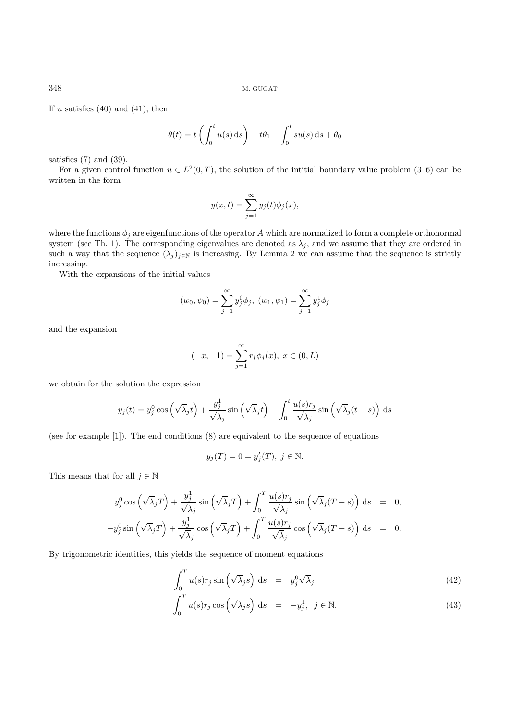If u satisfies  $(40)$  and  $(41)$ , then

$$
\theta(t) = t \left( \int_0^t u(s) \, ds \right) + t\theta_1 - \int_0^t su(s) \, ds + \theta_0
$$

satisfies (7) and (39).

For a given control function  $u \in L^2(0,T)$ , the solution of the intitial boundary value problem (3–6) can be written in the form

$$
y(x,t) = \sum_{j=1}^{\infty} y_j(t)\phi_j(x),
$$

where the functions  $\phi_j$  are eigenfunctions of the operator A which are normalized to form a complete orthonormal system (see Th. 1). The corresponding eigenvalues are denoted as  $\lambda_i$ , and we assume that they are ordered in such a way that the sequence  $(\lambda_j)_{j\in\mathbb{N}}$  is increasing. By Lemma 2 we can assume that the sequence is strictly increasing.

With the expansions of the initial values

$$
(w_0, \psi_0) = \sum_{j=1}^{\infty} y_j^0 \phi_j, \ (w_1, \psi_1) = \sum_{j=1}^{\infty} y_j^1 \phi_j
$$

and the expansion

$$
(-x, -1) = \sum_{j=1}^{\infty} r_j \phi_j(x), \ x \in (0, L)
$$

we obtain for the solution the expression

$$
y_j(t) = y_j^0 \cos\left(\sqrt{\lambda_j}t\right) + \frac{y_j^1}{\sqrt{\lambda_j}} \sin\left(\sqrt{\lambda_j}t\right) + \int_0^t \frac{u(s)r_j}{\sqrt{\lambda_j}} \sin\left(\sqrt{\lambda_j}(t-s)\right) ds
$$

(see for example [1]). The end conditions (8) are equivalent to the sequence of equations

$$
y_j(T) = 0 = y'_j(T), \ j \in \mathbb{N}.
$$

This means that for all  $j \in \mathbb{N}$ 

$$
y_j^0 \cos\left(\sqrt{\lambda_j}T\right) + \frac{y_j^1}{\sqrt{\lambda_j}} \sin\left(\sqrt{\lambda_j}T\right) + \int_0^T \frac{u(s)r_j}{\sqrt{\lambda_j}} \sin\left(\sqrt{\lambda_j}(T-s)\right) ds = 0,
$$
  

$$
-y_j^0 \sin\left(\sqrt{\lambda_j}T\right) + \frac{y_j^1}{\sqrt{\lambda_j}} \cos\left(\sqrt{\lambda_j}T\right) + \int_0^T \frac{u(s)r_j}{\sqrt{\lambda_j}} \cos\left(\sqrt{\lambda_j}(T-s)\right) ds = 0.
$$

By trigonometric identities, this yields the sequence of moment equations

$$
\int_0^T u(s)r_j \sin\left(\sqrt{\lambda_j}s\right) ds = y_j^0 \sqrt{\lambda_j} \tag{42}
$$

$$
\int_0^T u(s)r_j \cos\left(\sqrt{\lambda_j}s\right) ds = -y_j^1, \ j \in \mathbb{N}.
$$
 (43)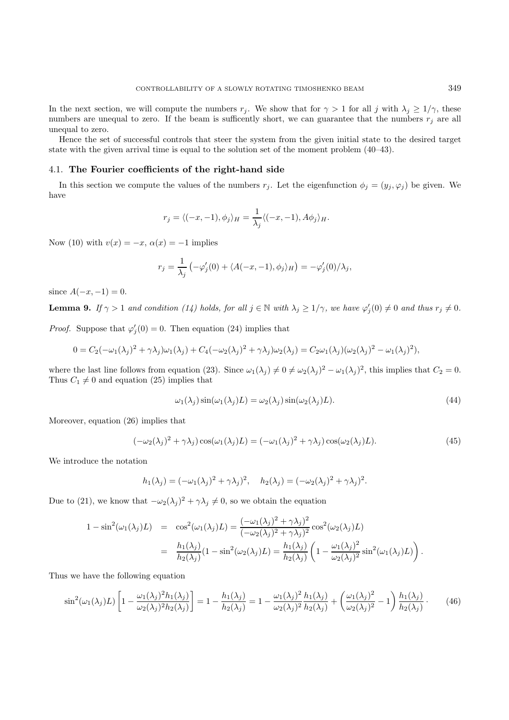In the next section, we will compute the numbers  $r_j$ . We show that for  $\gamma > 1$  for all j with  $\lambda_j \geq 1/\gamma$ , these numbers are unequal to zero. If the beam is sufficently short, we can guarantee that the numbers  $r_j$  are all unequal to zero.

Hence the set of successful controls that steer the system from the given initial state to the desired target state with the given arrival time is equal to the solution set of the moment problem (40–43).

#### 4.1. **The Fourier coefficients of the right-hand side**

In this section we compute the values of the numbers  $r_j$ . Let the eigenfunction  $\phi_j = (y_j, \varphi_j)$  be given. We have

$$
r_j = \langle (-x, -1), \phi_j \rangle_H = \frac{1}{\lambda_j} \langle (-x, -1), A\phi_j \rangle_H.
$$

Now (10) with  $v(x) = -x$ ,  $\alpha(x) = -1$  implies

$$
r_j = \frac{1}{\lambda_j} \left( -\varphi_j'(0) + \langle A(-x, -1), \phi_j \rangle_H \right) = -\varphi_j'(0) / \lambda_j,
$$

since  $A(-x, -1) = 0$ .

**Lemma 9.** If  $\gamma > 1$  and condition (14) holds, for all  $j \in \mathbb{N}$  with  $\lambda_j \ge 1/\gamma$ , we have  $\varphi'_j(0) \ne 0$  and thus  $r_j \ne 0$ .

*Proof.* Suppose that  $\varphi'_j(0) = 0$ . Then equation (24) implies that

$$
0 = C_2(-\omega_1(\lambda_j)^2 + \gamma \lambda_j)\omega_1(\lambda_j) + C_4(-\omega_2(\lambda_j)^2 + \gamma \lambda_j)\omega_2(\lambda_j) = C_2\omega_1(\lambda_j)(\omega_2(\lambda_j)^2 - \omega_1(\lambda_j)^2),
$$

where the last line follows from equation (23). Since  $\omega_1(\lambda_j) \neq 0 \neq \omega_2(\lambda_j)^2 - \omega_1(\lambda_j)^2$ , this implies that  $C_2 = 0$ . Thus  $C_1 \neq 0$  and equation (25) implies that

$$
\omega_1(\lambda_j) \sin(\omega_1(\lambda_j)L) = \omega_2(\lambda_j) \sin(\omega_2(\lambda_j)L). \tag{44}
$$

Moreover, equation (26) implies that

$$
(-\omega_2(\lambda_j)^2 + \gamma \lambda_j)\cos(\omega_1(\lambda_j)L) = (-\omega_1(\lambda_j)^2 + \gamma \lambda_j)\cos(\omega_2(\lambda_j)L). \tag{45}
$$

We introduce the notation

$$
h_1(\lambda_j) = (-\omega_1(\lambda_j)^2 + \gamma \lambda_j)^2, \quad h_2(\lambda_j) = (-\omega_2(\lambda_j)^2 + \gamma \lambda_j)^2.
$$

Due to (21), we know that  $-\omega_2(\lambda_j)^2 + \gamma \lambda_j \neq 0$ , so we obtain the equation

$$
1 - \sin^2(\omega_1(\lambda_j)L) = \cos^2(\omega_1(\lambda_j)L) = \frac{(-\omega_1(\lambda_j)^2 + \gamma \lambda_j)^2}{(-\omega_2(\lambda_j)^2 + \gamma \lambda_j)^2} \cos^2(\omega_2(\lambda_j)L)
$$
  

$$
= \frac{h_1(\lambda_j)}{h_2(\lambda_j)} (1 - \sin^2(\omega_2(\lambda_j)L) = \frac{h_1(\lambda_j)}{h_2(\lambda_j)} \left(1 - \frac{\omega_1(\lambda_j)^2}{\omega_2(\lambda_j)^2} \sin^2(\omega_1(\lambda_j)L)\right).
$$

Thus we have the following equation

$$
\sin^2(\omega_1(\lambda_j)L) \left[ 1 - \frac{\omega_1(\lambda_j)^2 h_1(\lambda_j)}{\omega_2(\lambda_j)^2 h_2(\lambda_j)} \right] = 1 - \frac{h_1(\lambda_j)}{h_2(\lambda_j)} = 1 - \frac{\omega_1(\lambda_j)^2 h_1(\lambda_j)}{\omega_2(\lambda_j)^2 h_2(\lambda_j)} + \left( \frac{\omega_1(\lambda_j)^2}{\omega_2(\lambda_j)^2} - 1 \right) \frac{h_1(\lambda_j)}{h_2(\lambda_j)}.
$$
 (46)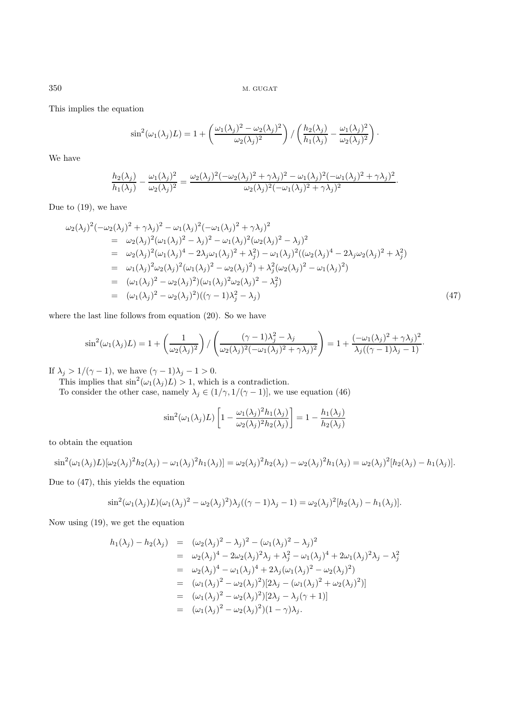This implies the equation

$$
\sin^2(\omega_1(\lambda_j)L) = 1 + \left(\frac{\omega_1(\lambda_j)^2 - \omega_2(\lambda_j)^2}{\omega_2(\lambda_j)^2}\right) / \left(\frac{h_2(\lambda_j)}{h_1(\lambda_j)} - \frac{\omega_1(\lambda_j)^2}{\omega_2(\lambda_j)^2}\right).
$$

We have

$$
\frac{h_2(\lambda_j)}{h_1(\lambda_j)} - \frac{\omega_1(\lambda_j)^2}{\omega_2(\lambda_j)^2} = \frac{\omega_2(\lambda_j)^2(-\omega_2(\lambda_j)^2 + \gamma\lambda_j)^2 - \omega_1(\lambda_j)^2(-\omega_1(\lambda_j)^2 + \gamma\lambda_j)^2}{\omega_2(\lambda_j)^2(-\omega_1(\lambda_j)^2 + \gamma\lambda_j)^2}.
$$

Due to (19), we have

$$
\omega_2(\lambda_j)^2(-\omega_2(\lambda_j)^2 + \gamma\lambda_j)^2 - \omega_1(\lambda_j)^2(-\omega_1(\lambda_j)^2 + \gamma\lambda_j)^2 \n= \omega_2(\lambda_j)^2(\omega_1(\lambda_j)^2 - \lambda_j)^2 - \omega_1(\lambda_j)^2(\omega_2(\lambda_j)^2 - \lambda_j)^2 \n= \omega_2(\lambda_j)^2(\omega_1(\lambda_j)^4 - 2\lambda_j\omega_1(\lambda_j)^2 + \lambda_j^2) - \omega_1(\lambda_j)^2((\omega_2(\lambda_j)^4 - 2\lambda_j\omega_2(\lambda_j)^2 + \lambda_j^2) \n= \omega_1(\lambda_j)^2\omega_2(\lambda_j)^2(\omega_1(\lambda_j)^2 - \omega_2(\lambda_j)^2) + \lambda_j^2(\omega_2(\lambda_j)^2 - \omega_1(\lambda_j)^2) \n= (\omega_1(\lambda_j)^2 - \omega_2(\lambda_j)^2)(\omega_1(\lambda_j)^2\omega_2(\lambda_j)^2 - \lambda_j^2) \n= (\omega_1(\lambda_j)^2 - \omega_2(\lambda_j)^2)((\gamma - 1)\lambda_j^2 - \lambda_j)
$$
\n(47)

where the last line follows from equation (20). So we have

$$
\sin^2(\omega_1(\lambda_j)L) = 1 + \left(\frac{1}{\omega_2(\lambda_j)^2}\right) / \left(\frac{(\gamma - 1)\lambda_j^2 - \lambda_j}{\omega_2(\lambda_j)^2(-\omega_1(\lambda_j)^2 + \gamma\lambda_j)^2}\right) = 1 + \frac{(-\omega_1(\lambda_j)^2 + \gamma\lambda_j)^2}{\lambda_j((\gamma - 1)\lambda_j - 1)}.
$$

If  $\lambda_j > 1/(\gamma - 1)$ , we have  $(\gamma - 1)\lambda_j - 1 > 0$ .

This implies that  $\sin^2(\omega_1(\lambda_j)L) > 1$ , which is a contradiction.

To consider the other case, namely  $\lambda_j \in (1/\gamma, 1/(\gamma - 1)]$ , we use equation (46)

$$
\sin^2(\omega_1(\lambda_j)L) \left[1 - \frac{\omega_1(\lambda_j)^2 h_1(\lambda_j)}{\omega_2(\lambda_j)^2 h_2(\lambda_j)}\right] = 1 - \frac{h_1(\lambda_j)}{h_2(\lambda_j)}
$$

to obtain the equation

$$
\sin^2(\omega_1(\lambda_j)L)[\omega_2(\lambda_j)^2h_2(\lambda_j)-\omega_1(\lambda_j)^2h_1(\lambda_j)] = \omega_2(\lambda_j)^2h_2(\lambda_j)-\omega_2(\lambda_j)^2h_1(\lambda_j) = \omega_2(\lambda_j)^2[h_2(\lambda_j)-h_1(\lambda_j)].
$$

Due to (47), this yields the equation

$$
\sin^2(\omega_1(\lambda_j)L)(\omega_1(\lambda_j)^2 - \omega_2(\lambda_j)^2)\lambda_j((\gamma - 1)\lambda_j - 1) = \omega_2(\lambda_j)^2[h_2(\lambda_j) - h_1(\lambda_j)].
$$

Now using (19), we get the equation

$$
h_1(\lambda_j) - h_2(\lambda_j) = (\omega_2(\lambda_j)^2 - \lambda_j)^2 - (\omega_1(\lambda_j)^2 - \lambda_j)^2
$$
  
\n
$$
= \omega_2(\lambda_j)^4 - 2\omega_2(\lambda_j)^2\lambda_j + \lambda_j^2 - \omega_1(\lambda_j)^4 + 2\omega_1(\lambda_j)^2\lambda_j - \lambda_j^2
$$
  
\n
$$
= \omega_2(\lambda_j)^4 - \omega_1(\lambda_j)^4 + 2\lambda_j(\omega_1(\lambda_j)^2 - \omega_2(\lambda_j)^2)
$$
  
\n
$$
= (\omega_1(\lambda_j)^2 - \omega_2(\lambda_j)^2)[2\lambda_j - (\omega_1(\lambda_j)^2 + \omega_2(\lambda_j)^2)]
$$
  
\n
$$
= (\omega_1(\lambda_j)^2 - \omega_2(\lambda_j)^2)[2\lambda_j - \lambda_j(\gamma + 1)]
$$
  
\n
$$
= (\omega_1(\lambda_j)^2 - \omega_2(\lambda_j)^2)(1 - \gamma)\lambda_j.
$$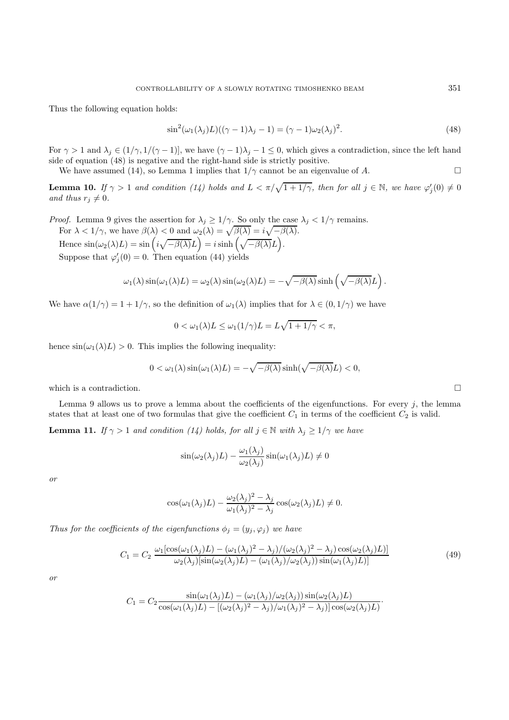Thus the following equation holds:

$$
\sin^2(\omega_1(\lambda_j)L)((\gamma - 1)\lambda_j - 1) = (\gamma - 1)\omega_2(\lambda_j)^2.
$$
\n(48)

For  $\gamma > 1$  and  $\lambda_j \in (1/\gamma, 1/(\gamma - 1)]$ , we have  $(\gamma - 1)\lambda_j - 1 \leq 0$ , which gives a contradiction, since the left hand side of equation (48) is negative and the right-hand side is strictly positive.

We have assumed (14), so Lemma 1 implies that  $1/\gamma$  cannot be an eigenvalue of A.

**Lemma 10.** If  $\gamma > 1$  and condition (14) holds and  $L < \pi/\sqrt{1+1/\gamma}$ , then for all  $j \in \mathbb{N}$ , we have  $\varphi'_j(0) \neq 0$ and thus  $r_i \neq 0$ .

*Proof.* Lemma 9 gives the assertion for  $\lambda_j \ge 1/\gamma$ . So only the case  $\lambda_j < 1/\gamma$  remains. For  $\lambda < 1/\gamma$ , we have  $\beta(\lambda) < 0$  and  $\omega_2(\lambda) = \sqrt{\beta(\lambda)} = i\sqrt{-\beta(\lambda)}$ . Hence  $\sin(\omega_2(\lambda)L) = \sin\left(i\sqrt{-\beta(\lambda)}L\right) = i\sinh\left(\sqrt{-\beta(\lambda)}L\right).$ Suppose that  $\varphi_j'(0) = 0$ . Then equation (44) yields

$$
\omega_1(\lambda)\sin(\omega_1(\lambda)L) = \omega_2(\lambda)\sin(\omega_2(\lambda)L) = -\sqrt{-\beta(\lambda)}\sinh\left(\sqrt{-\beta(\lambda)}L\right).
$$

We have  $\alpha(1/\gamma)=1+1/\gamma$ , so the definition of  $\omega_1(\lambda)$  implies that for  $\lambda \in (0, 1/\gamma)$  we have

$$
0 < \omega_1(\lambda)L \le \omega_1(1/\gamma)L = L\sqrt{1+1/\gamma} < \pi,
$$

hence  $\sin(\omega_1(\lambda)L) > 0$ . This implies the following inequality:

$$
0 < \omega_1(\lambda)\sin(\omega_1(\lambda)L) = -\sqrt{-\beta(\lambda)}\sinh(\sqrt{-\beta(\lambda)}L) < 0,
$$

which is a contradiction.  $\Box$ 

Lemma 9 allows us to prove a lemma about the coefficients of the eigenfunctions. For every  $j$ , the lemma states that at least one of two formulas that give the coefficient  $C_1$  in terms of the coefficient  $C_2$  is valid.

**Lemma 11.** If  $\gamma > 1$  and condition (14) holds, for all  $j \in \mathbb{N}$  with  $\lambda_j \geq 1/\gamma$  we have

$$
\sin(\omega_2(\lambda_j)L) - \frac{\omega_1(\lambda_j)}{\omega_2(\lambda_j)}\sin(\omega_1(\lambda_j)L) \neq 0
$$

or

$$
\cos(\omega_1(\lambda_j)L) - \frac{\omega_2(\lambda_j)^2 - \lambda_j}{\omega_1(\lambda_j)^2 - \lambda_j} \cos(\omega_2(\lambda_j)L) \neq 0.
$$

Thus for the coefficients of the eigenfunctions  $\phi_j = (y_j, \varphi_j)$  we have

$$
C_1 = C_2 \frac{\omega_1 [\cos(\omega_1(\lambda_j)L) - (\omega_1(\lambda_j)^2 - \lambda_j)/(\omega_2(\lambda_j)^2 - \lambda_j)\cos(\omega_2(\lambda_j)L)]}{\omega_2(\lambda_j)[\sin(\omega_2(\lambda_j)L) - (\omega_1(\lambda_j)/\omega_2(\lambda_j))\sin(\omega_1(\lambda_j)L)]}
$$
(49)

·

or

$$
C_1 = C_2 \frac{\sin(\omega_1(\lambda_j)L) - (\omega_1(\lambda_j)/\omega_2(\lambda_j))\sin(\omega_2(\lambda_j)L)}{\cos(\omega_1(\lambda_j)L) - [(\omega_2(\lambda_j)^2 - \lambda_j)/\omega_1(\lambda_j)^2 - \lambda_j)]\cos(\omega_2(\lambda_j)L)}
$$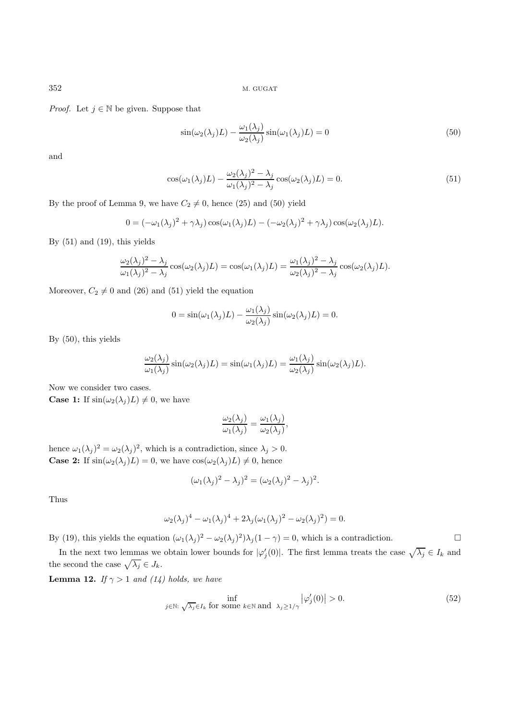*Proof.* Let  $j \in \mathbb{N}$  be given. Suppose that

$$
\sin(\omega_2(\lambda_j)L) - \frac{\omega_1(\lambda_j)}{\omega_2(\lambda_j)}\sin(\omega_1(\lambda_j)L) = 0
$$
\n(50)

and

$$
\cos(\omega_1(\lambda_j)L) - \frac{\omega_2(\lambda_j)^2 - \lambda_j}{\omega_1(\lambda_j)^2 - \lambda_j} \cos(\omega_2(\lambda_j)L) = 0.
$$
\n(51)

By the proof of Lemma 9, we have  $C_2 \neq 0$ , hence (25) and (50) yield

$$
0 = (-\omega_1(\lambda_j)^2 + \gamma \lambda_j) \cos(\omega_1(\lambda_j)L) - (-\omega_2(\lambda_j)^2 + \gamma \lambda_j) \cos(\omega_2(\lambda_j)L).
$$

By  $(51)$  and  $(19)$ , this yields

$$
\frac{\omega_2(\lambda_j)^2 - \lambda_j}{\omega_1(\lambda_j)^2 - \lambda_j} \cos(\omega_2(\lambda_j)L) = \cos(\omega_1(\lambda_j)L) = \frac{\omega_1(\lambda_j)^2 - \lambda_j}{\omega_2(\lambda_j)^2 - \lambda_j} \cos(\omega_2(\lambda_j)L).
$$

Moreover,  $C_2 \neq 0$  and (26) and (51) yield the equation

$$
0 = \sin(\omega_1(\lambda_j)L) - \frac{\omega_1(\lambda_j)}{\omega_2(\lambda_j)}\sin(\omega_2(\lambda_j)L) = 0.
$$

By (50), this yields

$$
\frac{\omega_2(\lambda_j)}{\omega_1(\lambda_j)}\sin(\omega_2(\lambda_j)L) = \sin(\omega_1(\lambda_j)L) = \frac{\omega_1(\lambda_j)}{\omega_2(\lambda_j)}\sin(\omega_2(\lambda_j)L).
$$

Now we consider two cases. **Case 1:** If  $\sin(\omega_2(\lambda_i)L) \neq 0$ , we have

$$
\frac{\omega_2(\lambda_j)}{\omega_1(\lambda_j)} = \frac{\omega_1(\lambda_j)}{\omega_2(\lambda_j)}
$$

,

hence  $\omega_1(\lambda_j)^2 = \omega_2(\lambda_j)^2$ , which is a contradiction, since  $\lambda_j > 0$ . **Case 2:** If  $\sin(\omega_2(\lambda_j)L) = 0$ , we have  $\cos(\omega_2(\lambda_j)L) \neq 0$ , hence

$$
(\omega_1(\lambda_j)^2 - \lambda_j)^2 = (\omega_2(\lambda_j)^2 - \lambda_j)^2.
$$

Thus

$$
\omega_2(\lambda_j)^4 - \omega_1(\lambda_j)^4 + 2\lambda_j(\omega_1(\lambda_j)^2 - \omega_2(\lambda_j)^2) = 0.
$$

By (19), this yields the equation  $(\omega_1(\lambda_j)^2 - \omega_2(\lambda_j)^2)\lambda_j(1-\gamma) = 0$ , which is a contradiction.

In the next two lemmas we obtain lower bounds for  $|\varphi_j'(0)|$ . The first lemma treats the case  $\sqrt{\lambda_j} \in I_k$  and the second the case  $\sqrt{\lambda_j}\in J_k.$ 

**Lemma 12.** If  $\gamma > 1$  and (14) holds, we have

$$
\inf_{j \in \mathbb{N}: \sqrt{\lambda_j} \in I_k \text{ for some } k \in \mathbb{N} \text{ and } \lambda_j \ge 1/\gamma} |\varphi_j'(0)| > 0. \tag{52}
$$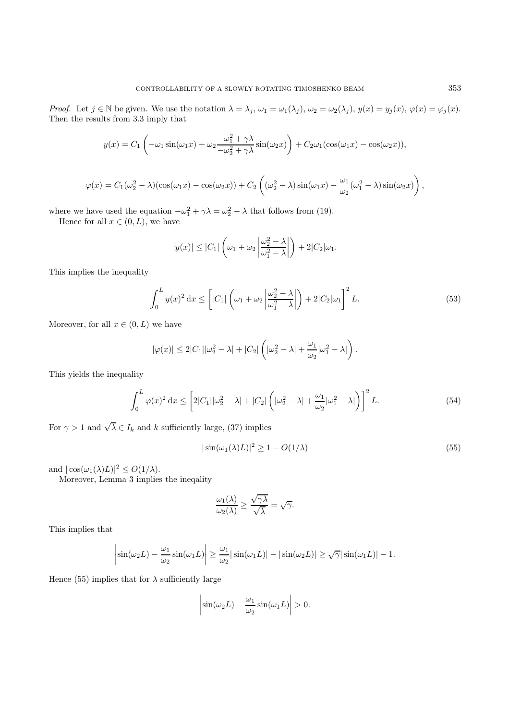Proof. Let  $j \in \mathbb{N}$  be given. We use the notation  $\lambda = \lambda_j$ ,  $\omega_1 = \omega_1(\lambda_j)$ ,  $\omega_2 = \omega_2(\lambda_j)$ ,  $y(x) = y_j(x)$ ,  $\varphi(x) = \varphi_j(x)$ . Then the results from 3.3 imply that

$$
y(x) = C_1 \left( -\omega_1 \sin(\omega_1 x) + \omega_2 \frac{-\omega_1^2 + \gamma \lambda}{-\omega_2^2 + \gamma \lambda} \sin(\omega_2 x) \right) + C_2 \omega_1 (\cos(\omega_1 x) - \cos(\omega_2 x)),
$$

$$
\varphi(x) = C_1(\omega_2^2 - \lambda)(\cos(\omega_1 x) - \cos(\omega_2 x)) + C_2\left((\omega_2^2 - \lambda)\sin(\omega_1 x) - \frac{\omega_1}{\omega_2}(\omega_1^2 - \lambda)\sin(\omega_2 x)\right)
$$

where we have used the equation  $-\omega_1^2 + \gamma \lambda = \omega_2^2 - \lambda$  that follows from (19).

Hence for all  $x \in (0, L)$ , we have

$$
|y(x)| \leq |C_1| \left(\omega_1 + \omega_2 \left| \frac{\omega_2^2 - \lambda}{\omega_1^2 - \lambda} \right| \right) + 2|C_2|\omega_1.
$$

This implies the inequality

$$
\int_0^L y(x)^2 dx \le \left[ |C_1| \left( \omega_1 + \omega_2 \left| \frac{\omega_2^2 - \lambda}{\omega_1^2 - \lambda} \right| \right) + 2|C_2| \omega_1 \right]^2 L. \tag{53}
$$

Moreover, for all  $x \in (0, L)$  we have

$$
|\varphi(x)| \leq 2|C_1||\omega_2^2 - \lambda| + |C_2|\left(|\omega_2^2 - \lambda| + \frac{\omega_1}{\omega_2}|\omega_1^2 - \lambda|\right).
$$

This yields the inequality

$$
\int_0^L \varphi(x)^2 dx \le \left[ 2|C_1||\omega_2^2 - \lambda| + |C_2| \left( |\omega_2^2 - \lambda| + \frac{\omega_1}{\omega_2} |\omega_1^2 - \lambda| \right) \right]^2 L. \tag{54}
$$

For  $\gamma > 1$  and  $\sqrt{\lambda} \in I_k$  and k sufficiently large, (37) implies

$$
|\sin(\omega_1(\lambda)L)|^2 \ge 1 - O(1/\lambda)
$$
\n(55)

and  $|\cos(\omega_1(\lambda)L)|^2 \leq O(1/\lambda)$ .

Moreover, Lemma 3 implies the ineqality

$$
\frac{\omega_1(\lambda)}{\omega_2(\lambda)} \ge \frac{\sqrt{\gamma\lambda}}{\sqrt{\lambda}} = \sqrt{\gamma}.
$$

This implies that

$$
\left|\sin(\omega_2 L) - \frac{\omega_1}{\omega_2}\sin(\omega_1 L)\right| \ge \frac{\omega_1}{\omega_2}|\sin(\omega_1 L)| - |\sin(\omega_2 L)| \ge \sqrt{\gamma}|\sin(\omega_1 L)| - 1.
$$

Hence (55) implies that for  $\lambda$  sufficiently large

$$
\left|\sin(\omega_2 L) - \frac{\omega_1}{\omega_2}\sin(\omega_1 L)\right| > 0.
$$

,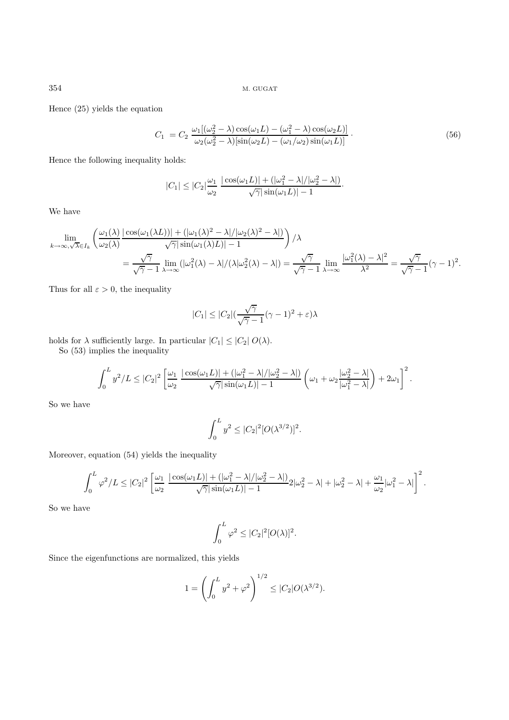Hence (25) yields the equation

$$
C_1 = C_2 \frac{\omega_1 [(\omega_2^2 - \lambda) \cos(\omega_1 L) - (\omega_1^2 - \lambda) \cos(\omega_2 L)]}{\omega_2 (\omega_2^2 - \lambda) [\sin(\omega_2 L) - (\omega_1/\omega_2) \sin(\omega_1 L)]}.
$$
\n(56)

Hence the following inequality holds:

$$
|C_1| \leq |C_2| \frac{\omega_1}{\omega_2} \frac{|\cos(\omega_1 L)| + (|\omega_1^2 - \lambda|/|\omega_2^2 - \lambda|)}{\sqrt{\gamma} |\sin(\omega_1 L)| - 1}.
$$

We have

$$
\lim_{k \to \infty, \sqrt{\lambda} \in I_k} \left( \frac{\omega_1(\lambda)}{\omega_2(\lambda)} \frac{|\cos(\omega_1(\lambda L))| + (|\omega_1(\lambda)^2 - \lambda|/|\omega_2(\lambda)^2 - \lambda|)}{\sqrt{\gamma} |\sin(\omega_1(\lambda) L)| - 1} \right) / \lambda
$$
  
= 
$$
\frac{\sqrt{\gamma}}{\sqrt{\gamma} - 1} \lim_{\lambda \to \infty} (|\omega_1^2(\lambda) - \lambda|/(\lambda|\omega_2^2(\lambda) - \lambda|) = \frac{\sqrt{\gamma}}{\sqrt{\gamma} - 1} \lim_{\lambda \to \infty} \frac{|\omega_1^2(\lambda) - \lambda|^2}{\lambda^2} = \frac{\sqrt{\gamma}}{\sqrt{\gamma} - 1} (\gamma - 1)^2.
$$

Thus for all  $\varepsilon > 0$ , the inequality

$$
|C_1| \leq |C_2| \left(\frac{\sqrt{\gamma}}{\sqrt{\gamma}-1} (\gamma-1)^2 + \varepsilon\right) \lambda
$$

holds for  $\lambda$  sufficiently large. In particular  $|C_1| \leq |C_2| O(\lambda)$ .

So (53) implies the inequality

$$
\int_0^L y^2/L \leq |C_2|^2 \left[ \frac{\omega_1}{\omega_2} \frac{|\cos(\omega_1 L)| + (|\omega_1^2 - \lambda|/|\omega_2^2 - \lambda|)}{\sqrt{\gamma} |\sin(\omega_1 L)| - 1} \left( \omega_1 + \omega_2 \frac{|\omega_2^2 - \lambda|}{|\omega_1^2 - \lambda|} \right) + 2\omega_1 \right]^2.
$$

So we have

$$
\int_0^L y^2 \leq |C_2|^2 [O(\lambda^{3/2})]^2.
$$

Moreover, equation (54) yields the inequality

$$
\int_0^L \varphi^2/L \leq |C_2|^2 \left[ \frac{\omega_1}{\omega_2} \frac{|\cos(\omega_1 L)| + (|\omega_1^2 - \lambda|/|\omega_2^2 - \lambda|)}{\sqrt{\gamma} |\sin(\omega_1 L)| - 1} 2|\omega_2^2 - \lambda| + |\omega_2^2 - \lambda| + \frac{\omega_1}{\omega_2} |\omega_1^2 - \lambda| \right]^2.
$$

So we have

$$
\int_0^L \varphi^2 \leq |C_2|^2 [O(\lambda)]^2.
$$

Since the eigenfunctions are normalized, this yields

$$
1 = \left(\int_0^L y^2 + \varphi^2\right)^{1/2} \le |C_2| O(\lambda^{3/2}).
$$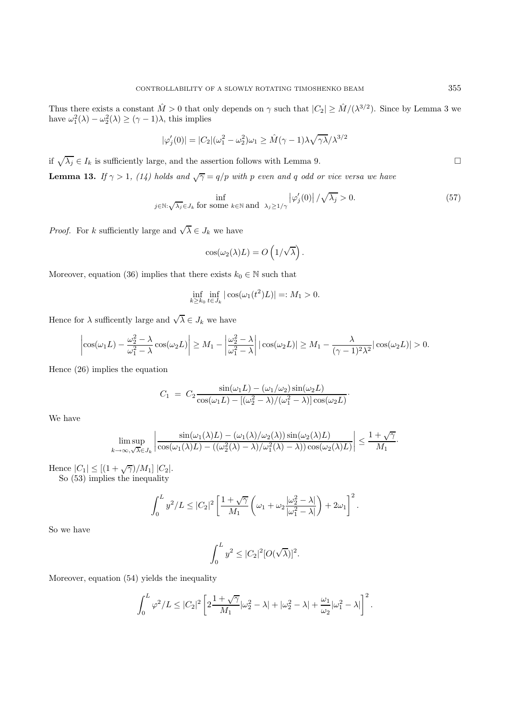Thus there exists a constant  $\hat{M} > 0$  that only depends on  $\gamma$  such that  $|C_2| \geq \hat{M}/(\lambda^{3/2})$ . Since by Lemma 3 we have  $\omega_1^2(\lambda) - \omega_2^2(\lambda) \ge (\gamma - 1)\lambda$ , this implies

$$
|\varphi_j'(0)| = |C_2|(\omega_1^2 - \omega_2^2)\omega_1 \ge \hat{M}(\gamma - 1)\lambda \sqrt{\gamma \lambda} / \lambda^{3/2}
$$

if  $\sqrt{\lambda_j} \in I_k$  is sufficiently large, and the assertion follows with Lemma 9.

**Lemma 13.** If  $\gamma > 1$ , (14) holds and  $\sqrt{\gamma} = q/p$  with p even and q odd or vice versa we have

$$
\inf_{j \in \mathbb{N}: \sqrt{\lambda_j} \in J_k \text{ for some } k \in \mathbb{N} \text{ and } \lambda_j \ge 1/\gamma} |\varphi_j'(0)| / \sqrt{\lambda_j} > 0. \tag{57}
$$

·

*Proof.* For k sufficiently large and  $\sqrt{\lambda} \in J_k$  we have

$$
\cos(\omega_2(\lambda)L) = O\left(1/\sqrt{\lambda}\right).
$$

Moreover, equation (36) implies that there exists  $k_0 \in \mathbb{N}$  such that

$$
\inf_{k \ge k_0} \inf_{t \in J_k} |\cos(\omega_1(t^2)L)| =: M_1 > 0.
$$

Hence for  $\lambda$  sufficently large and  $\sqrt{\lambda} \in J_k$  we have

$$
\left|\cos(\omega_1 L) - \frac{\omega_2^2 - \lambda}{\omega_1^2 - \lambda} \cos(\omega_2 L)\right| \ge M_1 - \left|\frac{\omega_2^2 - \lambda}{\omega_1^2 - \lambda}\right| |\cos(\omega_2 L)| \ge M_1 - \frac{\lambda}{(\gamma - 1)^2 \lambda^2} |\cos(\omega_2 L)| > 0.
$$

Hence (26) implies the equation

$$
C_1 = C_2 \frac{\sin(\omega_1 L) - (\omega_1/\omega_2) \sin(\omega_2 L)}{\cos(\omega_1 L) - [(\omega_2^2 - \lambda)/(\omega_1^2 - \lambda)] \cos(\omega_2 L)}
$$

We have

$$
\limsup_{k \to \infty, \sqrt{\lambda} \in J_k} \left| \frac{\sin(\omega_1(\lambda)L) - (\omega_1(\lambda)/\omega_2(\lambda))\sin(\omega_2(\lambda)L)}{\cos(\omega_1(\lambda)L) - ((\omega_2^2(\lambda) - \lambda)/\omega_1^2(\lambda) - \lambda))\cos(\omega_2(\lambda)L)} \right| \le \frac{1 + \sqrt{\gamma}}{M_1}.
$$

Hence  $|C_1| \leq [(1 + \sqrt{\gamma})/M_1] |C_2|$ .

So (53) implies the inequality

$$
\int_0^L y^2/L \leq |C_2|^2 \left[ \frac{1+\sqrt{\gamma}}{M_1} \left( \omega_1 + \omega_2 \frac{|\omega_2^2 - \lambda|}{|\omega_1^2 - \lambda|} \right) + 2\omega_1 \right]^2.
$$

So we have

$$
\int_0^L y^2 \leq |C_2|^2 [O(\sqrt{\lambda})]^2.
$$

Moreover, equation (54) yields the inequality

$$
\int_0^L \varphi^2/L \leq |C_2|^2 \left[ 2\frac{1+\sqrt{\gamma}}{M_1}|\omega_2^2-\lambda|+|\omega_2^2-\lambda|+\frac{\omega_1}{\omega_2}|\omega_1^2-\lambda| \right]^2.
$$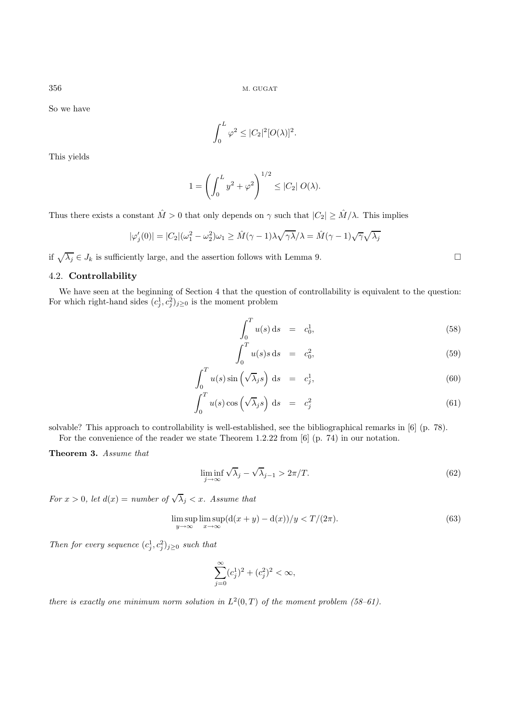So we have

$$
\int_0^L \varphi^2 \leq |C_2|^2 [O(\lambda)]^2.
$$

This yields

$$
1 = \left(\int_0^L y^2 + \varphi^2\right)^{1/2} \le |C_2| O(\lambda).
$$

Thus there exists a constant  $\hat{M} > 0$  that only depends on  $\gamma$  such that  $|C_2| \geq \hat{M}/\lambda$ . This implies

$$
|\varphi_j'(0)| = |C_2|(\omega_1^2 - \omega_2^2)\omega_1 \ge \hat{M}(\gamma - 1)\lambda \sqrt{\gamma \lambda}/\lambda = \hat{M}(\gamma - 1)\sqrt{\gamma}\sqrt{\lambda_j}
$$

if  $\sqrt{\lambda_j} \in J_k$  is sufficiently large, and the assertion follows with Lemma 9.

# 4.2. **Controllability**

We have seen at the beginning of Section 4 that the question of controllability is equivalent to the question: For which right-hand sides  $(c_j^1, c_j^2)_{j \geq 0}$  is the moment problem

$$
\int_0^T u(s) \, \mathrm{d}s = c_0^1,\tag{58}
$$

$$
\int_0^T u(s)s \, \mathrm{d}s = c_0^2,\tag{59}
$$

$$
\int_0^T u(s) \sin \left(\sqrt{\lambda_j} s\right) ds = c_j^1,
$$
\n(60)

$$
\int_0^T u(s) \cos \left(\sqrt{\lambda_j} s\right) ds = c_j^2 \tag{61}
$$

solvable? This approach to controllability is well-established, see the bibliographical remarks in [6] (p. 78). For the convenience of the reader we state Theorem 1.2.22 from [6] (p. 74) in our notation.

**Theorem 3.** Assume that

$$
\liminf_{j \to \infty} \sqrt{\lambda}_j - \sqrt{\lambda}_{j-1} > 2\pi/T. \tag{62}
$$

For  $x > 0$ , let  $d(x) = number of \sqrt{\lambda}_j < x$ . Assume that

$$
\limsup_{y \to \infty} \limsup_{x \to \infty} (d(x + y) - d(x))/y < T/(2\pi).
$$
\n(63)

Then for every sequence  $(c_j^1, c_j^2)_{j \geq 0}$  such that

$$
\sum_{j=0}^{\infty} (c_j^1)^2 + (c_j^2)^2 < \infty,
$$

there is exactly one minimum norm solution in  $L^2(0,T)$  of the moment problem (58-61).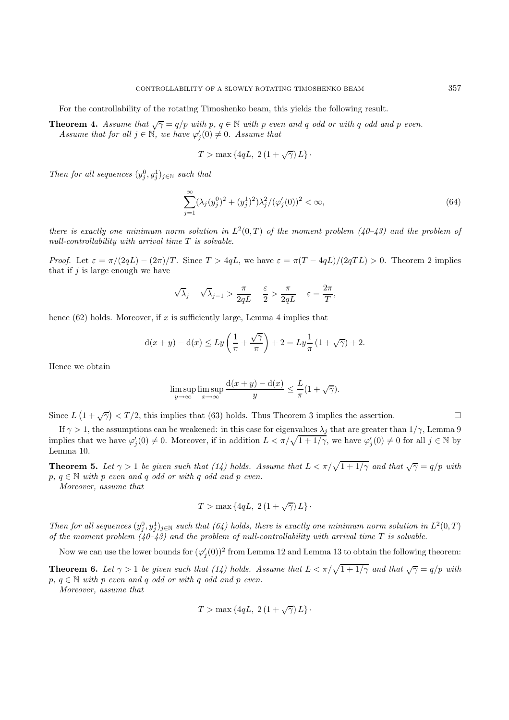For the controllability of the rotating Timoshenko beam, this yields the following result.

**Theorem 4.** Assume that  $\sqrt{\gamma} = q/p$  with p,  $q \in \mathbb{N}$  with p even and q odd or with q odd and p even. Assume that for all  $j \in \mathbb{N}$ , we have  $\varphi'_j(0) \neq 0$ . Assume that

$$
T > \max\left\{4qL, 2\left(1 + \sqrt{\gamma}\right)L\right\}.
$$

Then for all sequences  $(y_j^0, y_j^1)_{j \in \mathbb{N}}$  such that

$$
\sum_{j=1}^{\infty} (\lambda_j (y_j^0)^2 + (y_j^1)^2) \lambda_j^2 / (\varphi_j'(0))^2 < \infty,\tag{64}
$$

there is exactly one minimum norm solution in  $L^2(0,T)$  of the moment problem  $(40-43)$  and the problem of null-controllability with arrival time  $T$  is solvable.

*Proof.* Let  $\varepsilon = \pi/(2qL) - (2\pi)/T$ . Since  $T > 4qL$ , we have  $\varepsilon = \pi(T - 4qL)/(2qTL) > 0$ . Theorem 2 implies that if  $j$  is large enough we have

$$
\sqrt{\lambda}_j - \sqrt{\lambda}_{j-1} > \frac{\pi}{2qL} - \frac{\varepsilon}{2} > \frac{\pi}{2qL} - \varepsilon = \frac{2\pi}{T},
$$

hence  $(62)$  holds. Moreover, if x is sufficiently large, Lemma 4 implies that

$$
d(x + y) - d(x) \le Ly\left(\frac{1}{\pi} + \frac{\sqrt{\gamma}}{\pi}\right) + 2 = Ly\frac{1}{\pi}(1 + \sqrt{\gamma}) + 2.
$$

Hence we obtain

$$
\limsup_{y \to \infty} \limsup_{x \to \infty} \frac{d(x+y) - d(x)}{y} \le \frac{L}{\pi} (1 + \sqrt{\gamma}).
$$

Since  $L(1+\sqrt{\gamma}) < T/2$ , this implies that (63) holds. Thus Theorem 3 implies the assertion.

If  $\gamma > 1$ , the assumptions can be weakened: in this case for eigenvalues  $\lambda_j$  that are greater than  $1/\gamma$ , Lemma 9 implies that we have  $\varphi'_j(0) \neq 0$ . Moreover, if in addition  $L < \pi/\sqrt{1+1/\gamma}$ , we have  $\varphi'_j(0) \neq 0$  for all  $j \in \mathbb{N}$  by Lemma 10.

**Theorem 5.** Let  $\gamma > 1$  be given such that (14) holds. Assume that  $L < \pi/\sqrt{1+1/\gamma}$  and that  $\sqrt{\gamma} = q/p$  with  $p, q \in \mathbb{N}$  with p even and q odd or with q odd and p even.

Moreover, assume that

$$
T > \max\left\{4qL, 2\left(1 + \sqrt{\gamma}\right)L\right\}.
$$

Then for all sequences  $(y_j^0, y_j^1)_{j\in\mathbb{N}}$  such that  $(64)$  holds, there is exactly one minimum norm solution in  $L^2(0,T)$ of the moment problem  $(40-43)$  and the problem of null-controllability with arrival time T is solvable.

Now we can use the lower bounds for  $(\varphi'_j(0))^2$  from Lemma 12 and Lemma 13 to obtain the following theorem:

**Theorem 6.** Let  $\gamma > 1$  be given such that (14) holds. Assume that  $L < \pi/\sqrt{1+1/\gamma}$  and that  $\sqrt{\gamma} = q/p$  with  $p, q \in \mathbb{N}$  with p even and q odd or with q odd and p even.

Moreover, assume that

$$
T > \max\left\{4qL, 2\left(1 + \sqrt{\gamma}\right)L\right\}.
$$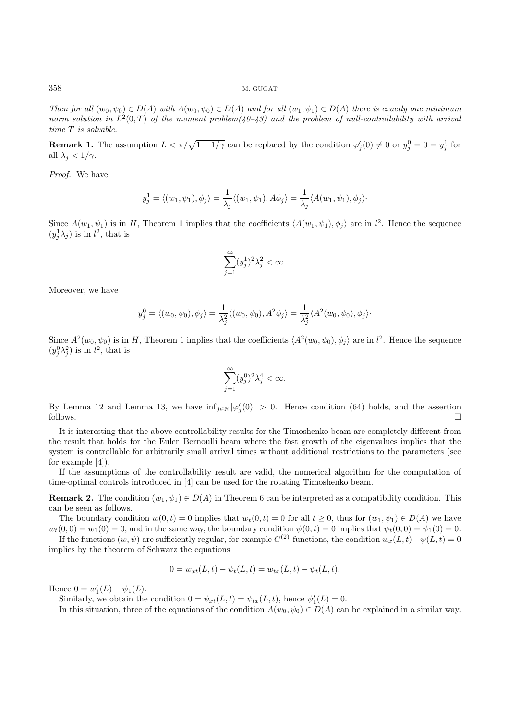Then for all  $(w_0, \psi_0) \in D(A)$  with  $A(w_0, \psi_0) \in D(A)$  and for all  $(w_1, \psi_1) \in D(A)$  there is exactly one minimum norm solution in  $L^2(0,T)$  of the moment problem(40–43) and the problem of null-controllability with arrival time T is solvable.

**Remark 1.** The assumption  $L < \pi/\sqrt{1+1/\gamma}$  can be replaced by the condition  $\varphi'_j(0) \neq 0$  or  $y_j^0 = 0 = y_j^1$  for all  $\lambda_i < 1/\gamma$ .

Proof. We have

$$
y_j^1 = \langle (w_1, \psi_1), \phi_j \rangle = \frac{1}{\lambda_j} \langle (w_1, \psi_1), A\phi_j \rangle = \frac{1}{\lambda_j} \langle A(w_1, \psi_1), \phi_j \rangle.
$$

Since  $A(w_1, \psi_1)$  is in H, Theorem 1 implies that the coefficients  $\langle A(w_1, \psi_1), \phi_j \rangle$  are in  $l^2$ . Hence the sequence  $(y_j^1 \lambda_j)$  is in  $l^2$ , that is

$$
\sum_{j=1}^{\infty} (y_j^1)^2 \lambda_j^2 < \infty.
$$

Moreover, we have

$$
y_j^0 = \langle (w_0, \psi_0), \phi_j \rangle = \frac{1}{\lambda_j^2} \langle (w_0, \psi_0), A^2 \phi_j \rangle = \frac{1}{\lambda_j^2} \langle A^2(w_0, \psi_0), \phi_j \rangle.
$$

Since  $A^2(w_0, \psi_0)$  is in H, Theorem 1 implies that the coefficients  $\langle A^2(w_0, \psi_0), \phi_j \rangle$  are in  $l^2$ . Hence the sequence  $(y_j^0 \lambda_j^2)$  is in  $l^2$ , that is

$$
\sum_{j=1}^{\infty} (y_j^0)^2 \lambda_j^4 < \infty.
$$

By Lemma 12 and Lemma 13, we have  $\inf_{j \in \mathbb{N}} |\varphi'_j(0)| > 0$ . Hence condition (64) holds, and the assertion follows.  $\Box$ 

It is interesting that the above controllability results for the Timoshenko beam are completely different from the result that holds for the Euler–Bernoulli beam where the fast growth of the eigenvalues implies that the system is controllable for arbitrarily small arrival times without additional restrictions to the parameters (see for example [4]).

If the assumptions of the controllability result are valid, the numerical algorithm for the computation of time-optimal controls introduced in [4] can be used for the rotating Timoshenko beam.

**Remark 2.** The condition  $(w_1, \psi_1) \in D(A)$  in Theorem 6 can be interpreted as a compatibility condition. This can be seen as follows.

The boundary condition  $w(0, t) = 0$  implies that  $w_t(0, t) = 0$  for all  $t \geq 0$ , thus for  $(w_1, \psi_1) \in D(A)$  we have  $w_t(0,0) = w_1(0) = 0$ , and in the same way, the boundary condition  $\psi(0,t) = 0$  implies that  $\psi_t(0,0) = \psi_1(0) = 0$ .

If the functions  $(w, \psi)$  are sufficiently regular, for example  $C^{(2)}$ -functions, the condition  $w_x(L, t)-\psi(L, t)=0$ implies by the theorem of Schwarz the equations

$$
0 = w_{xt}(L, t) - \psi_t(L, t) = w_{tx}(L, t) - \psi_t(L, t).
$$

Hence  $0 = w'_1(L) - \psi_1(L)$ .

Similarly, we obtain the condition  $0 = \psi_{xt}(L, t) = \psi_{tx}(L, t)$ , hence  $\psi_1'(L) = 0$ .

In this situation, three of the equations of the condition  $A(w_0, \psi_0) \in D(A)$  can be explained in a similar way.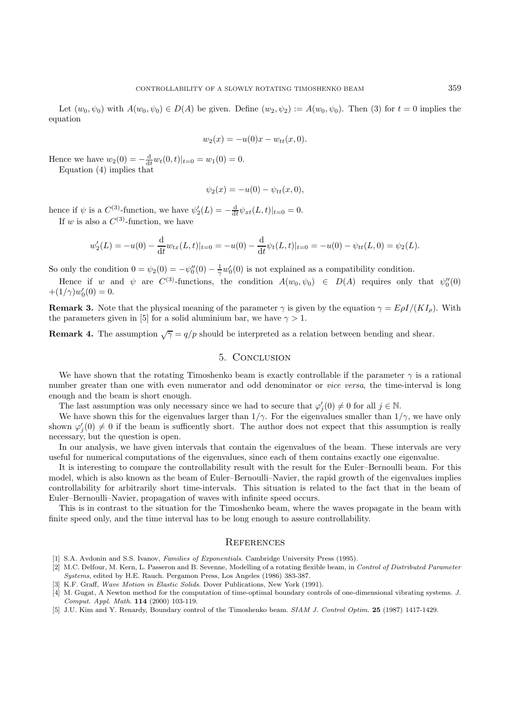Let  $(w_0, \psi_0)$  with  $A(w_0, \psi_0) \in D(A)$  be given. Define  $(w_2, \psi_2) := A(w_0, \psi_0)$ . Then (3) for  $t = 0$  implies the equation

$$
w_2(x) = -u(0)x - w_{tt}(x, 0).
$$

Hence we have  $w_2(0) = -\frac{d}{dt}w_t(0,t)|_{t=0} = w_1(0) = 0.$ 

Equation (4) implies that

$$
\psi_2(x) = -u(0) - \psi_{tt}(x, 0),
$$

hence if  $\psi$  is a  $C^{(3)}$ -function, we have  $\psi_2'(L) = -\frac{d}{dt}\psi_{xt}(L,t)|_{t=0} = 0$ . If w is also a  $C^{(3)}$ -function, we have

$$
w_2'(L) = -u(0) - \frac{d}{dt} w_{tx}(L,t)|_{t=0} = -u(0) - \frac{d}{dt} \psi_t(L,t)|_{t=0} = -u(0) - \psi_{tt}(L,0) = \psi_2(L).
$$

So only the condition  $0 = \psi_2(0) = -\psi_0''(0) - \frac{1}{\gamma}\psi_0'(0)$  is not explained as a compatibility condition.

Hence if w and  $\psi$  are  $C^{(3)}$ -functions, the condition  $A(w_0, \psi_0) \in D(A)$  requires only that  $\psi_0''(0)$  $+(1/\gamma)w_0'(0)=0.$ 

**Remark 3.** Note that the physical meaning of the parameter  $\gamma$  is given by the equation  $\gamma = E\rho I/(KI_o)$ . With the parameters given in [5] for a solid aluminium bar, we have  $\gamma > 1$ .

**Remark 4.** The assumption  $\sqrt{\gamma} = q/p$  should be interpreted as a relation between bending and shear.

# 5. Conclusion

We have shown that the rotating Timoshenko beam is exactly controllable if the parameter  $\gamma$  is a rational number greater than one with even numerator and odd denominator or *vice versa*, the time-interval is long enough and the beam is short enough.

The last assumption was only necessary since we had to secure that  $\varphi'_j(0) \neq 0$  for all  $j \in \mathbb{N}$ .

We have shown this for the eigenvalues larger than  $1/\gamma$ . For the eigenvalues smaller than  $1/\gamma$ , we have only shown  $\varphi'_j(0) \neq 0$  if the beam is sufficently short. The author does not expect that this assumption is really necessary, but the question is open.

In our analysis, we have given intervals that contain the eigenvalues of the beam. These intervals are very useful for numerical computations of the eigenvalues, since each of them contains exactly one eigenvalue.

It is interesting to compare the controllability result with the result for the Euler–Bernoulli beam. For this model, which is also known as the beam of Euler–Bernoulli–Navier, the rapid growth of the eigenvalues implies controllability for arbitrarily short time-intervals. This situation is related to the fact that in the beam of Euler–Bernoulli–Navier, propagation of waves with infinite speed occurs.

This is in contrast to the situation for the Timoshenko beam, where the waves propagate in the beam with finite speed only, and the time interval has to be long enough to assure controllability.

## **REFERENCES**

- [1] S.A. Avdonin and S.S. Ivanov, Families of Exponentials. Cambridge University Press (1995).
- [2] M.C. Delfour, M. Kern, L. Passeron and B. Sevenne, Modelling of a rotating flexible beam, in Control of Distributed Parameter Systems, edited by H.E. Rauch. Pergamon Press, Los Angeles (1986) 383-387.
- [3] K.F. Graff, Wave Motion in Elastic Solids. Dover Publications, New York (1991).
- [4] M. Gugat, A Newton method for the computation of time-optimal boundary controls of one-dimensional vibrating systems. J. Comput. Appl. Math. **114** (2000) 103-119.
- [5] J.U. Kim and Y. Renardy, Boundary control of the Timoshenko beam. SIAM J. Control Optim. **25** (1987) 1417-1429.